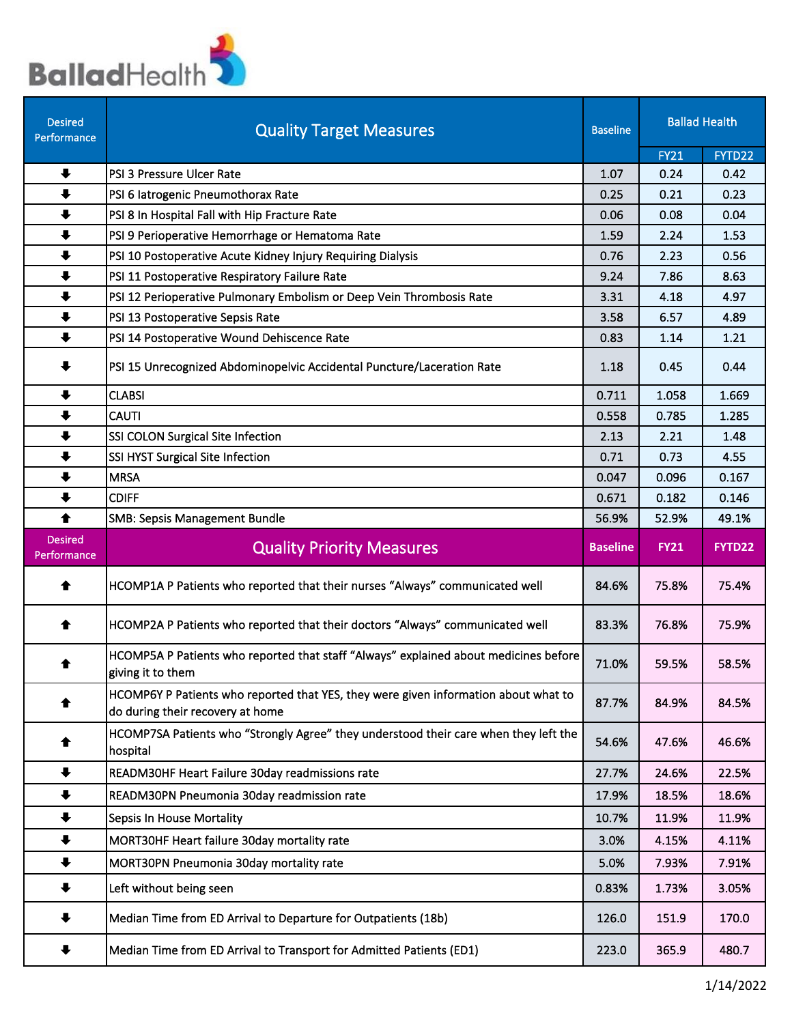

| <b>Desired</b><br>Performance | <b>Quality Target Measures</b>                                                                                          | <b>Baseline</b> | <b>Ballad Health</b> |                |
|-------------------------------|-------------------------------------------------------------------------------------------------------------------------|-----------------|----------------------|----------------|
|                               |                                                                                                                         |                 | <b>FY21</b>          | FYTD22         |
| $\ddot{\phantom{1}}$          | PSI 3 Pressure Ulcer Rate                                                                                               | 1.07            | 0.24                 | 0.42           |
| $\ddot{\phantom{1}}$          | PSI 6 latrogenic Pneumothorax Rate                                                                                      | 0.25            | 0.21                 | 0.23           |
| $\ddot{\phantom{1}}$          | PSI 8 In Hospital Fall with Hip Fracture Rate                                                                           | 0.06            | 0.08                 | 0.04           |
| $\ddot{\phantom{1}}$          | PSI 9 Perioperative Hemorrhage or Hematoma Rate                                                                         | 1.59            | 2.24                 | 1.53           |
| $\ddot{\phantom{1}}$          | PSI 10 Postoperative Acute Kidney Injury Requiring Dialysis                                                             | 0.76            | 2.23                 | 0.56           |
| $\ddot{\phantom{1}}$          | PSI 11 Postoperative Respiratory Failure Rate                                                                           | 9.24            | 7.86                 | 8.63           |
| $\ddot{\phantom{1}}$          | PSI 12 Perioperative Pulmonary Embolism or Deep Vein Thrombosis Rate                                                    | 3.31            | 4.18                 | 4.97           |
| $\ddot{\phantom{1}}$          | PSI 13 Postoperative Sepsis Rate                                                                                        | 3.58            | 6.57                 | 4.89           |
| $\ddot{\phantom{1}}$          | PSI 14 Postoperative Wound Dehiscence Rate                                                                              | 0.83            | 1.14                 | 1.21           |
| $\ddot{\phantom{1}}$          | PSI 15 Unrecognized Abdominopelvic Accidental Puncture/Laceration Rate                                                  | 1.18            | 0.45                 | 0.44           |
| $\ddot{\phantom{1}}$          | <b>CLABSI</b>                                                                                                           | 0.711           | 1.058                | 1.669          |
| $\ddot{\phantom{1}}$          | <b>CAUTI</b>                                                                                                            | 0.558           | 0.785                | 1.285          |
| $\ddot{\phantom{1}}$          | SSI COLON Surgical Site Infection                                                                                       | 2.13            | 2.21                 | 1.48           |
| $\ddot{\phantom{1}}$          | SSI HYST Surgical Site Infection                                                                                        | 0.71            | 0.73                 | 4.55           |
| $\ddot{\phantom{1}}$          | <b>MRSA</b>                                                                                                             | 0.047           | 0.096                | 0.167          |
| $\ddot{\phantom{1}}$          | <b>CDIFF</b>                                                                                                            | 0.671           | 0.182                | 0.146          |
| 合                             | <b>SMB: Sepsis Management Bundle</b>                                                                                    | 56.9%           | 52.9%                | 49.1%          |
| <b>Desired</b><br>Performance | <b>Quality Priority Measures</b>                                                                                        | <b>Baseline</b> | <b>FY21</b>          | FYTD22         |
| ♠                             | HCOMP1A P Patients who reported that their nurses "Always" communicated well                                            | 84.6%           | 75.8%                | 75.4%          |
| ♠                             | HCOMP2A P Patients who reported that their doctors "Always" communicated well                                           | 83.3%           | 76.8%                | 75.9%          |
|                               | HCOMP5A P Patients who reported that staff "Always" explained about medicines before<br>giving it to them               | 71.0%           | 59.5%                | 58.5%          |
|                               |                                                                                                                         |                 |                      |                |
| ♠                             | HCOMP6Y P Patients who reported that YES, they were given information about what to<br>do during their recovery at home | 87.7%           | 84.9%                | 84.5%          |
| ♠                             | HCOMP7SA Patients who "Strongly Agree" they understood their care when they left the<br>hospital                        | 54.6%           | 47.6%                | 46.6%          |
| $\ddot{\phantom{1}}$          | READM30HF Heart Failure 30day readmissions rate                                                                         | 27.7%           | 24.6%                | 22.5%          |
| $\ddagger$                    | READM30PN Pneumonia 30day readmission rate                                                                              | 17.9%           | 18.5%                | 18.6%          |
| $\ddot{\phantom{1}}$          | Sepsis In House Mortality                                                                                               | 10.7%           | 11.9%                | 11.9%          |
|                               |                                                                                                                         |                 |                      | 4.11%          |
| $\ddot{\phantom{1}}$          | MORT30HF Heart failure 30day mortality rate                                                                             | 3.0%            | 4.15%                |                |
| $\ddot{\phantom{1}}$<br>♣     | MORT30PN Pneumonia 30day mortality rate<br>Left without being seen                                                      | 5.0%<br>0.83%   | 7.93%<br>1.73%       | 7.91%<br>3.05% |
| $\ddot{\phantom{1}}$          | Median Time from ED Arrival to Departure for Outpatients (18b)                                                          | 126.0           | 151.9                | 170.0          |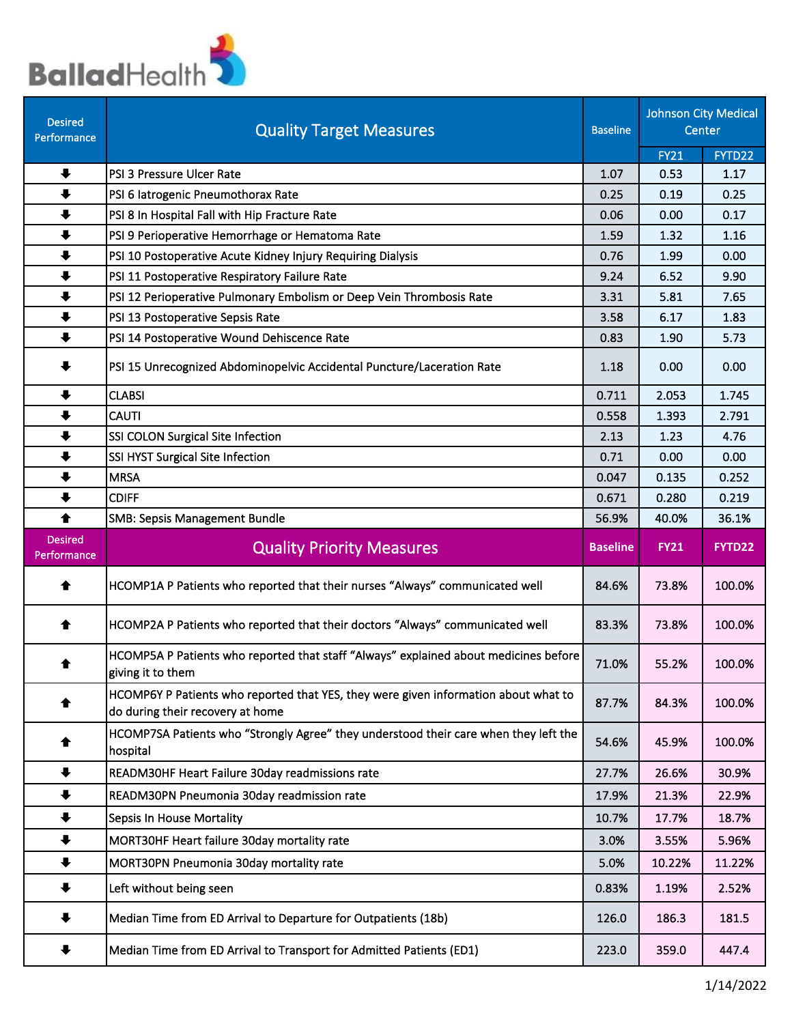

| <b>Desired</b><br>Performance | <b>Quality Target Measures</b>                                                                                          | <b>Baseline</b> | <b>Johnson City Medical</b> | Center          |
|-------------------------------|-------------------------------------------------------------------------------------------------------------------------|-----------------|-----------------------------|-----------------|
|                               |                                                                                                                         |                 | <b>FY21</b>                 | FYTD22          |
| $\ddot{\phantom{1}}$          | PSI 3 Pressure Ulcer Rate                                                                                               | 1.07            | 0.53                        | 1.17            |
| $\ddot{\phantom{1}}$          | PSI 6 latrogenic Pneumothorax Rate                                                                                      | 0.25            | 0.19                        | 0.25            |
| $\ddot{\phantom{1}}$          | PSI 8 In Hospital Fall with Hip Fracture Rate                                                                           | 0.06            | 0.00                        | 0.17            |
| $\ddot{\phantom{1}}$          | PSI 9 Perioperative Hemorrhage or Hematoma Rate                                                                         | 1.59            | 1.32                        | 1.16            |
| $\ddot{\phantom{1}}$          | PSI 10 Postoperative Acute Kidney Injury Requiring Dialysis                                                             | 0.76            | 1.99                        | 0.00            |
| $\ddot{\phantom{1}}$          | PSI 11 Postoperative Respiratory Failure Rate                                                                           | 9.24            | 6.52                        | 9.90            |
| $\ddot{\phantom{1}}$          | PSI 12 Perioperative Pulmonary Embolism or Deep Vein Thrombosis Rate                                                    | 3.31            | 5.81                        | 7.65            |
| $\ddot{\phantom{1}}$          | PSI 13 Postoperative Sepsis Rate                                                                                        | 3.58            | 6.17                        | 1.83            |
| $\ddot{\phantom{1}}$          | PSI 14 Postoperative Wound Dehiscence Rate                                                                              | 0.83            | 1.90                        | 5.73            |
| $\ddagger$                    | PSI 15 Unrecognized Abdominopelvic Accidental Puncture/Laceration Rate                                                  | 1.18            | 0.00                        | 0.00            |
| $\ddot{\phantom{1}}$          | <b>CLABSI</b>                                                                                                           | 0.711           | 2.053                       | 1.745           |
| $\ddot{\phantom{1}}$          | <b>CAUTI</b>                                                                                                            | 0.558           | 1.393                       | 2.791           |
| $\ddot{\phantom{1}}$          | SSI COLON Surgical Site Infection                                                                                       | 2.13            | 1.23                        | 4.76            |
| $\ddot{\phantom{1}}$          | SSI HYST Surgical Site Infection                                                                                        | 0.71            | 0.00                        | 0.00            |
| $\ddot{\phantom{1}}$          | <b>MRSA</b>                                                                                                             | 0.047           | 0.135                       | 0.252           |
| $\ddot{\phantom{1}}$          | <b>CDIFF</b>                                                                                                            | 0.671           | 0.280                       | 0.219           |
| ♦                             | <b>SMB: Sepsis Management Bundle</b>                                                                                    | 56.9%           | 40.0%                       | 36.1%           |
|                               |                                                                                                                         |                 |                             |                 |
| <b>Desired</b><br>Performance | <b>Quality Priority Measures</b>                                                                                        | <b>Baseline</b> | <b>FY21</b>                 | FYTD22          |
| ♠                             | HCOMP1A P Patients who reported that their nurses "Always" communicated well                                            | 84.6%           | 73.8%                       | 100.0%          |
| ♠                             | HCOMP2A P Patients who reported that their doctors "Always" communicated well                                           | 83.3%           | 73.8%                       | 100.0%          |
|                               | HCOMP5A P Patients who reported that staff "Always" explained about medicines before<br>giving it to them               | 71.0%           | 55.2%                       | 100.0%          |
|                               | HCOMP6Y P Patients who reported that YES, they were given information about what to<br>do during their recovery at home | 87.7%           | 84.3%                       | 100.0%          |
|                               | HCOMP7SA Patients who "Strongly Agree" they understood their care when they left the<br>hospital                        | 54.6%           | 45.9%                       | 100.0%          |
| $\ddot{\phantom{1}}$          | READM30HF Heart Failure 30day readmissions rate                                                                         | 27.7%           | 26.6%                       | 30.9%           |
| $\ddot{\phantom{1}}$          | READM30PN Pneumonia 30day readmission rate                                                                              | 17.9%           | 21.3%                       | 22.9%           |
| $\ddot{\phantom{1}}$          | <b>Sepsis In House Mortality</b>                                                                                        | 10.7%           | 17.7%                       | 18.7%           |
| $\ddot{\phantom{1}}$          | MORT30HF Heart failure 30day mortality rate                                                                             | 3.0%            |                             | 5.96%           |
| $\ddot{\phantom{1}}$          |                                                                                                                         |                 | 3.55%                       |                 |
| $\ddot{\phantom{1}}$          | MORT30PN Pneumonia 30day mortality rate<br>Left without being seen                                                      | 5.0%<br>0.83%   | 10.22%<br>1.19%             | 11.22%<br>2.52% |
| ♣                             | Median Time from ED Arrival to Departure for Outpatients (18b)                                                          | 126.0           | 186.3                       | 181.5           |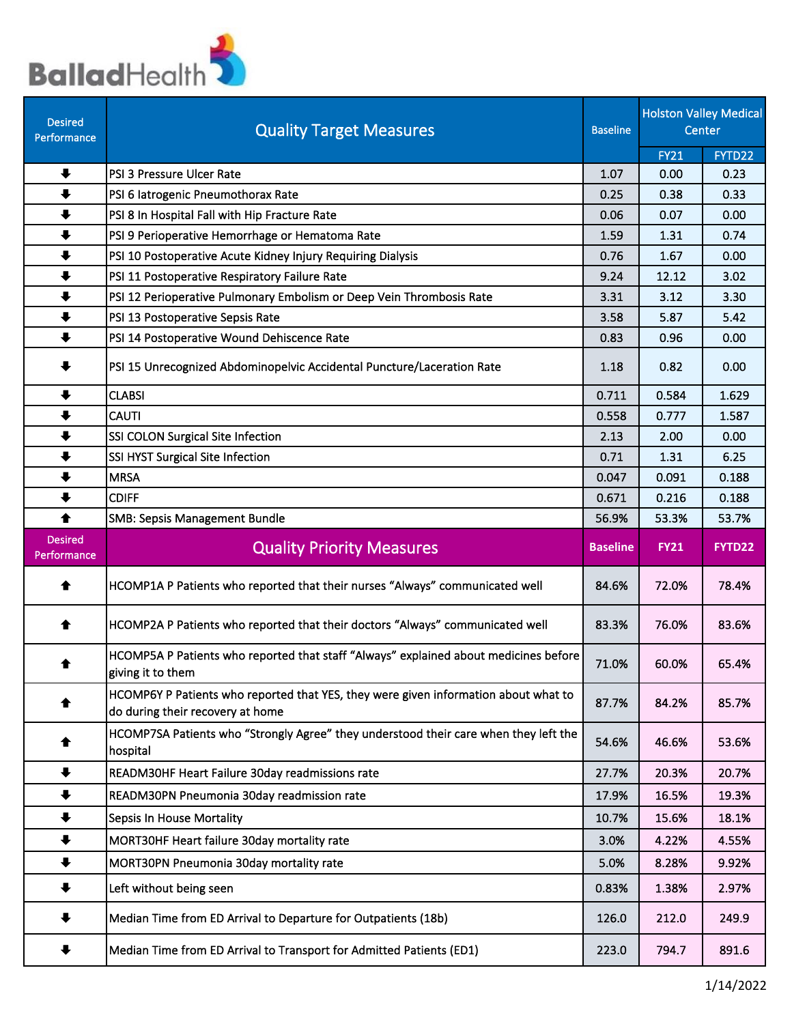

| <b>Desired</b><br>Performance | <b>Quality Target Measures</b>                                                                                          | <b>Baseline</b> |             | <b>Holston Valley Medical</b><br>Center |
|-------------------------------|-------------------------------------------------------------------------------------------------------------------------|-----------------|-------------|-----------------------------------------|
|                               |                                                                                                                         |                 | <b>FY21</b> | FYTD22                                  |
| $\ddot{\phantom{1}}$          | PSI 3 Pressure Ulcer Rate                                                                                               | 1.07            | 0.00        | 0.23                                    |
| $\ddot{\phantom{1}}$          | PSI 6 latrogenic Pneumothorax Rate                                                                                      | 0.25            | 0.38        | 0.33                                    |
| $\ddot{\phantom{1}}$          | PSI 8 In Hospital Fall with Hip Fracture Rate                                                                           | 0.06            | 0.07        | 0.00                                    |
| $\ddot{\phantom{1}}$          | PSI 9 Perioperative Hemorrhage or Hematoma Rate                                                                         | 1.59            | 1.31        | 0.74                                    |
| $\ddot{\phantom{1}}$          | PSI 10 Postoperative Acute Kidney Injury Requiring Dialysis                                                             | 0.76            | 1.67        | 0.00                                    |
| $\ddot{\phantom{1}}$          | PSI 11 Postoperative Respiratory Failure Rate                                                                           | 9.24            | 12.12       | 3.02                                    |
| $\ddot{\phantom{1}}$          | PSI 12 Perioperative Pulmonary Embolism or Deep Vein Thrombosis Rate                                                    | 3.31            | 3.12        | 3.30                                    |
| $\ddot{\phantom{1}}$          | PSI 13 Postoperative Sepsis Rate                                                                                        | 3.58            | 5.87        | 5.42                                    |
| $\ddot{\phantom{1}}$          | PSI 14 Postoperative Wound Dehiscence Rate                                                                              | 0.83            | 0.96        | 0.00                                    |
| $\ddot{\phantom{1}}$          | PSI 15 Unrecognized Abdominopelvic Accidental Puncture/Laceration Rate                                                  | 1.18            | 0.82        | 0.00                                    |
| $\ddot{\phantom{1}}$          | <b>CLABSI</b>                                                                                                           | 0.711           | 0.584       | 1.629                                   |
| $\ddot{\phantom{1}}$          | <b>CAUTI</b>                                                                                                            | 0.558           | 0.777       | 1.587                                   |
| $\ddot{\phantom{1}}$          | SSI COLON Surgical Site Infection                                                                                       | 2.13            | 2.00        | 0.00                                    |
| $\ddot{\phantom{1}}$          | SSI HYST Surgical Site Infection                                                                                        | 0.71            | 1.31        | 6.25                                    |
| $\ddot{\phantom{1}}$          | <b>MRSA</b>                                                                                                             | 0.047           | 0.091       | 0.188                                   |
| $\ddot{\phantom{1}}$          | <b>CDIFF</b>                                                                                                            | 0.671           | 0.216       | 0.188                                   |
| ♠                             | <b>SMB: Sepsis Management Bundle</b>                                                                                    | 56.9%           | 53.3%       | 53.7%                                   |
| <b>Desired</b><br>Performance | <b>Quality Priority Measures</b>                                                                                        | <b>Baseline</b> | <b>FY21</b> | FYTD22                                  |
| €                             | HCOMP1A P Patients who reported that their nurses "Always" communicated well                                            | 84.6%           | 72.0%       | 78.4%                                   |
| ♠                             | HCOMP2A P Patients who reported that their doctors "Always" communicated well                                           | 83.3%           | 76.0%       | 83.6%                                   |
| ₩                             | HCOMP5A P Patients who reported that staff "Always" explained about medicines before<br>giving it to them               | 71.0%           | 60.0%       | 65.4%                                   |
| ♠                             | HCOMP6Y P Patients who reported that YES, they were given information about what to<br>do during their recovery at home | 87.7%           | 84.2%       | 85.7%                                   |
|                               | HCOMP7SA Patients who "Strongly Agree" they understood their care when they left the<br>hospital                        | 54.6%           | 46.6%       | 53.6%                                   |
| $\ddot{\phantom{1}}$          | READM30HF Heart Failure 30day readmissions rate                                                                         | 27.7%           | 20.3%       | 20.7%                                   |
| $\ddot{\phantom{1}}$          | READM30PN Pneumonia 30day readmission rate                                                                              | 17.9%           | 16.5%       | 19.3%                                   |
| $\ddot{\phantom{1}}$          | <b>Sepsis In House Mortality</b>                                                                                        | 10.7%           | 15.6%       | 18.1%                                   |
| $\ddot{\phantom{1}}$          | MORT30HF Heart failure 30day mortality rate                                                                             | 3.0%            | 4.22%       | 4.55%                                   |
| $\ddot{\phantom{1}}$          | MORT30PN Pneumonia 30day mortality rate                                                                                 | 5.0%            | 8.28%       | 9.92%                                   |
| $\ddot{\phantom{0}}$          | Left without being seen                                                                                                 | 0.83%           | 1.38%       | 2.97%                                   |
| ♣                             | Median Time from ED Arrival to Departure for Outpatients (18b)                                                          | 126.0           | 212.0       | 249.9                                   |
|                               | Median Time from ED Arrival to Transport for Admitted Patients (ED1)                                                    | 223.0           | 794.7       | 891.6                                   |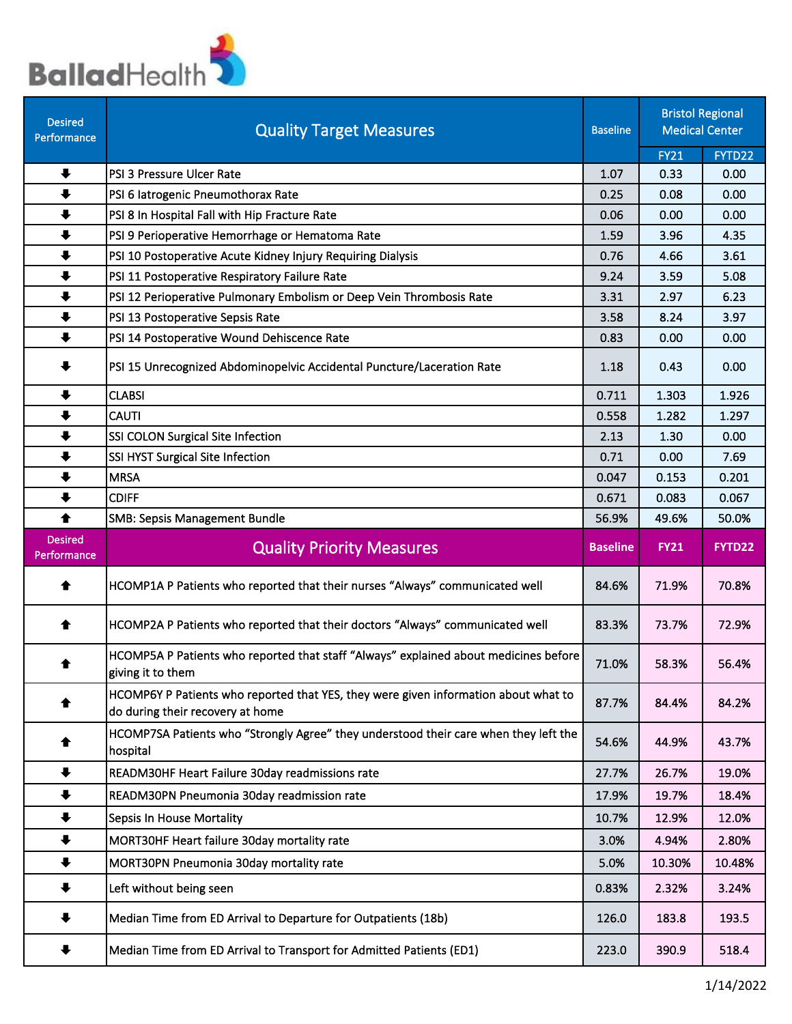

| <b>Desired</b><br>Performance | <b>Quality Target Measures</b>                                                                                          | <b>Baseline</b> |             | <b>Bristol Regional</b><br><b>Medical Center</b> |
|-------------------------------|-------------------------------------------------------------------------------------------------------------------------|-----------------|-------------|--------------------------------------------------|
|                               |                                                                                                                         |                 | <b>FY21</b> | FYTD22                                           |
| $\ddot{\phantom{1}}$          | PSI 3 Pressure Ulcer Rate                                                                                               | 1.07            | 0.33        | 0.00                                             |
| $\ddot{\phantom{1}}$          | PSI 6 latrogenic Pneumothorax Rate                                                                                      | 0.25            | 0.08        | 0.00                                             |
| $\ddot{\phantom{1}}$          | PSI 8 In Hospital Fall with Hip Fracture Rate                                                                           | 0.06            | 0.00        | 0.00                                             |
| $\ddot{\phantom{1}}$          | PSI 9 Perioperative Hemorrhage or Hematoma Rate                                                                         | 1.59            | 3.96        | 4.35                                             |
| $\ddot{\phantom{1}}$          | PSI 10 Postoperative Acute Kidney Injury Requiring Dialysis                                                             | 0.76            | 4.66        | 3.61                                             |
| $\ddot{\phantom{1}}$          | PSI 11 Postoperative Respiratory Failure Rate                                                                           | 9.24            | 3.59        | 5.08                                             |
| $\ddot{\phantom{1}}$          | PSI 12 Perioperative Pulmonary Embolism or Deep Vein Thrombosis Rate                                                    | 3.31            | 2.97        | 6.23                                             |
| $\ddot{\phantom{1}}$          | PSI 13 Postoperative Sepsis Rate                                                                                        | 3.58            | 8.24        | 3.97                                             |
| $\ddot{\phantom{1}}$          | PSI 14 Postoperative Wound Dehiscence Rate                                                                              | 0.83            | 0.00        | 0.00                                             |
| ╇                             | PSI 15 Unrecognized Abdominopelvic Accidental Puncture/Laceration Rate                                                  | 1.18            | 0.43        | 0.00                                             |
| $\ddot{\phantom{1}}$          | <b>CLABSI</b>                                                                                                           | 0.711           | 1.303       | 1.926                                            |
| $\ddot{\phantom{1}}$          | <b>CAUTI</b>                                                                                                            | 0.558           | 1.282       | 1.297                                            |
| $\ddot{\phantom{1}}$          | SSI COLON Surgical Site Infection                                                                                       | 2.13            | 1.30        | 0.00                                             |
| $\ddot{\phantom{1}}$          | SSI HYST Surgical Site Infection                                                                                        | 0.71            | 0.00        | 7.69                                             |
| $\ddot{\phantom{1}}$          | <b>MRSA</b>                                                                                                             | 0.047           | 0.153       | 0.201                                            |
| $\ddot{\phantom{1}}$          | <b>CDIFF</b>                                                                                                            | 0.671           | 0.083       | 0.067                                            |
| ♠                             | <b>SMB: Sepsis Management Bundle</b>                                                                                    | 56.9%           | 49.6%       | 50.0%                                            |
| <b>Desired</b><br>Performance | <b>Quality Priority Measures</b>                                                                                        | <b>Baseline</b> | <b>FY21</b> | FYTD22                                           |
|                               |                                                                                                                         |                 |             |                                                  |
| ♠                             | HCOMP1A P Patients who reported that their nurses "Always" communicated well                                            | 84.6%           | 71.9%       | 70.8%                                            |
| ♠                             | HCOMP2A P Patients who reported that their doctors "Always" communicated well                                           | 83.3%           | 73.7%       | 72.9%                                            |
| ♠                             | HCOMP5A P Patients who reported that staff "Always" explained about medicines before<br>giving it to them               | 71.0%           | 58.3%       | 56.4%                                            |
|                               | HCOMP6Y P Patients who reported that YES, they were given information about what to<br>do during their recovery at home | 87.7%           | 84.4%       | 84.2%                                            |
| ♠                             | HCOMP7SA Patients who "Strongly Agree" they understood their care when they left the<br>hospital                        | 54.6%           | 44.9%       | 43.7%                                            |
| $\ddot{\phantom{1}}$          | READM30HF Heart Failure 30day readmissions rate                                                                         | 27.7%           | 26.7%       | 19.0%                                            |
| $\ddot{\phantom{1}}$          | READM30PN Pneumonia 30day readmission rate                                                                              | 17.9%           | 19.7%       | 18.4%                                            |
| $\ddot{\phantom{1}}$          | Sepsis In House Mortality                                                                                               | 10.7%           | 12.9%       | 12.0%                                            |
| $\ddot{\phantom{1}}$          | MORT30HF Heart failure 30day mortality rate                                                                             | 3.0%            | 4.94%       | 2.80%                                            |
| $\ddot{\phantom{1}}$          | MORT30PN Pneumonia 30day mortality rate                                                                                 | 5.0%            | 10.30%      | 10.48%                                           |
| ╇                             | Left without being seen                                                                                                 | 0.83%           | 2.32%       | 3.24%                                            |
| ₩                             | Median Time from ED Arrival to Departure for Outpatients (18b)                                                          | 126.0           | 183.8       | 193.5                                            |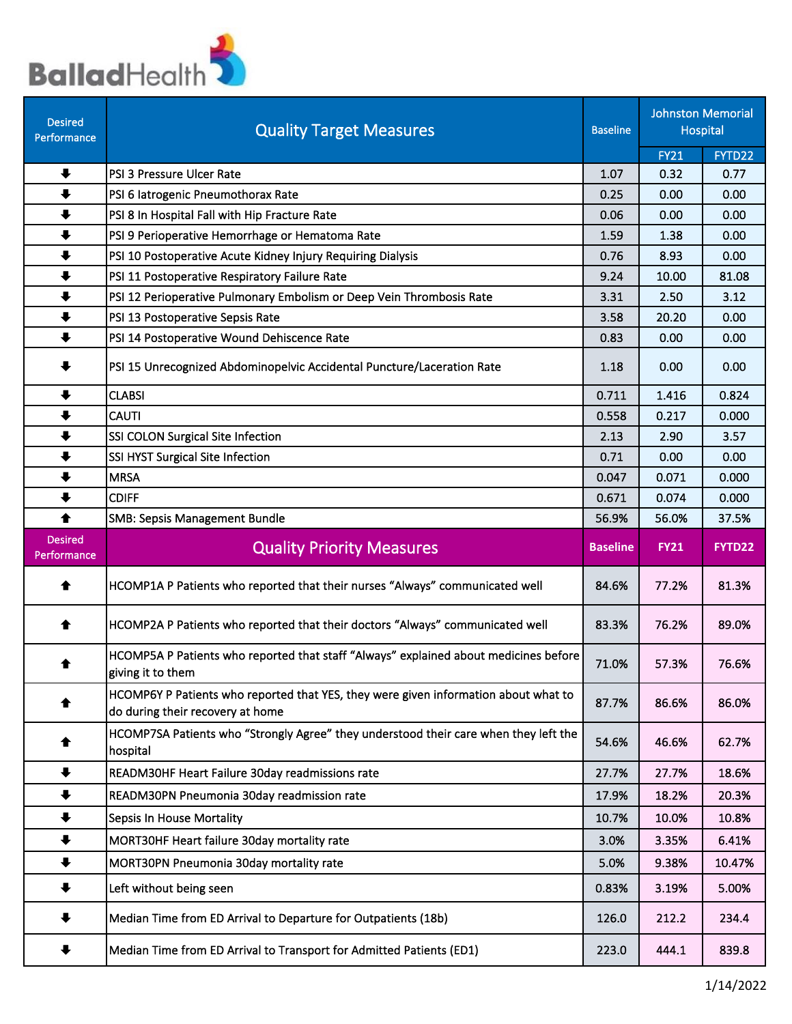

| <b>Desired</b><br>Performance | <b>Quality Target Measures</b>                                                                                          | <b>Baseline</b> |             | <b>Johnston Memorial</b><br>Hospital |
|-------------------------------|-------------------------------------------------------------------------------------------------------------------------|-----------------|-------------|--------------------------------------|
|                               |                                                                                                                         |                 | <b>FY21</b> | FYTD22                               |
| $\ddot{\phantom{1}}$          | PSI 3 Pressure Ulcer Rate                                                                                               | 1.07            | 0.32        | 0.77                                 |
| $\ddot{\phantom{1}}$          | PSI 6 latrogenic Pneumothorax Rate                                                                                      | 0.25            | 0.00        | 0.00                                 |
| $\ddot{\phantom{1}}$          | PSI 8 In Hospital Fall with Hip Fracture Rate                                                                           | 0.06            | 0.00        | 0.00                                 |
| $\ddot{\phantom{1}}$          | PSI 9 Perioperative Hemorrhage or Hematoma Rate                                                                         | 1.59            | 1.38        | 0.00                                 |
| $\ddot{\phantom{1}}$          | PSI 10 Postoperative Acute Kidney Injury Requiring Dialysis                                                             | 0.76            | 8.93        | 0.00                                 |
| $\ddot{\phantom{1}}$          | PSI 11 Postoperative Respiratory Failure Rate                                                                           | 9.24            | 10.00       | 81.08                                |
| $\ddot{\phantom{1}}$          | PSI 12 Perioperative Pulmonary Embolism or Deep Vein Thrombosis Rate                                                    | 3.31            | 2.50        | 3.12                                 |
| $\ddot{\phantom{1}}$          | PSI 13 Postoperative Sepsis Rate                                                                                        | 3.58            | 20.20       | 0.00                                 |
| $\ddot{\phantom{1}}$          | PSI 14 Postoperative Wound Dehiscence Rate                                                                              | 0.83            | 0.00        | 0.00                                 |
| ₩                             | PSI 15 Unrecognized Abdominopelvic Accidental Puncture/Laceration Rate                                                  | 1.18            | 0.00        | 0.00                                 |
| $\ddot{\phantom{1}}$          | <b>CLABSI</b>                                                                                                           | 0.711           | 1.416       | 0.824                                |
| $\ddot{\phantom{1}}$          | <b>CAUTI</b>                                                                                                            | 0.558           | 0.217       | 0.000                                |
| $\ddot{\phantom{1}}$          | SSI COLON Surgical Site Infection                                                                                       | 2.13            | 2.90        | 3.57                                 |
| $\ddot{\phantom{1}}$          | SSI HYST Surgical Site Infection                                                                                        | 0.71            | 0.00        | 0.00                                 |
| $\ddot{\phantom{1}}$          | <b>MRSA</b>                                                                                                             | 0.047           | 0.071       | 0.000                                |
| $\ddot{\phantom{1}}$          | <b>CDIFF</b>                                                                                                            | 0.671           | 0.074       | 0.000                                |
| $\blacklozenge$               | <b>SMB: Sepsis Management Bundle</b>                                                                                    | 56.9%           | 56.0%       | 37.5%                                |
|                               |                                                                                                                         |                 |             |                                      |
| <b>Desired</b><br>Performance | <b>Quality Priority Measures</b>                                                                                        | <b>Baseline</b> | <b>FY21</b> | FYTD22                               |
| ♠                             | HCOMP1A P Patients who reported that their nurses "Always" communicated well                                            | 84.6%           | 77.2%       | 81.3%                                |
| ♠                             | HCOMP2A P Patients who reported that their doctors "Always" communicated well                                           | 83.3%           | 76.2%       | 89.0%                                |
|                               | HCOMP5A P Patients who reported that staff "Always" explained about medicines before<br>giving it to them               | 71.0%           | 57.3%       | 76.6%                                |
|                               | HCOMP6Y P Patients who reported that YES, they were given information about what to<br>do during their recovery at home | 87.7%           | 86.6%       | 86.0%                                |
|                               | HCOMP7SA Patients who "Strongly Agree" they understood their care when they left the<br>hospital                        | 54.6%           | 46.6%       | 62.7%                                |
| $\ddot{\phantom{1}}$          | READM30HF Heart Failure 30day readmissions rate                                                                         | 27.7%           | 27.7%       | 18.6%                                |
| $\ddot{\phantom{1}}$          | READM30PN Pneumonia 30day readmission rate                                                                              | 17.9%           | 18.2%       | 20.3%                                |
| $\ddot{\phantom{1}}$          | <b>Sepsis In House Mortality</b>                                                                                        | 10.7%           | 10.0%       | 10.8%                                |
| $\ddagger$                    | MORT30HF Heart failure 30day mortality rate                                                                             | 3.0%            | 3.35%       | 6.41%                                |
| $\ddot{\phantom{1}}$          | MORT30PN Pneumonia 30day mortality rate                                                                                 | 5.0%            | 9.38%       | 10.47%                               |
| $\ddot{\phantom{1}}$          | Left without being seen                                                                                                 | 0.83%           | 3.19%       | 5.00%                                |
|                               | Median Time from ED Arrival to Departure for Outpatients (18b)                                                          | 126.0           | 212.2       | 234.4                                |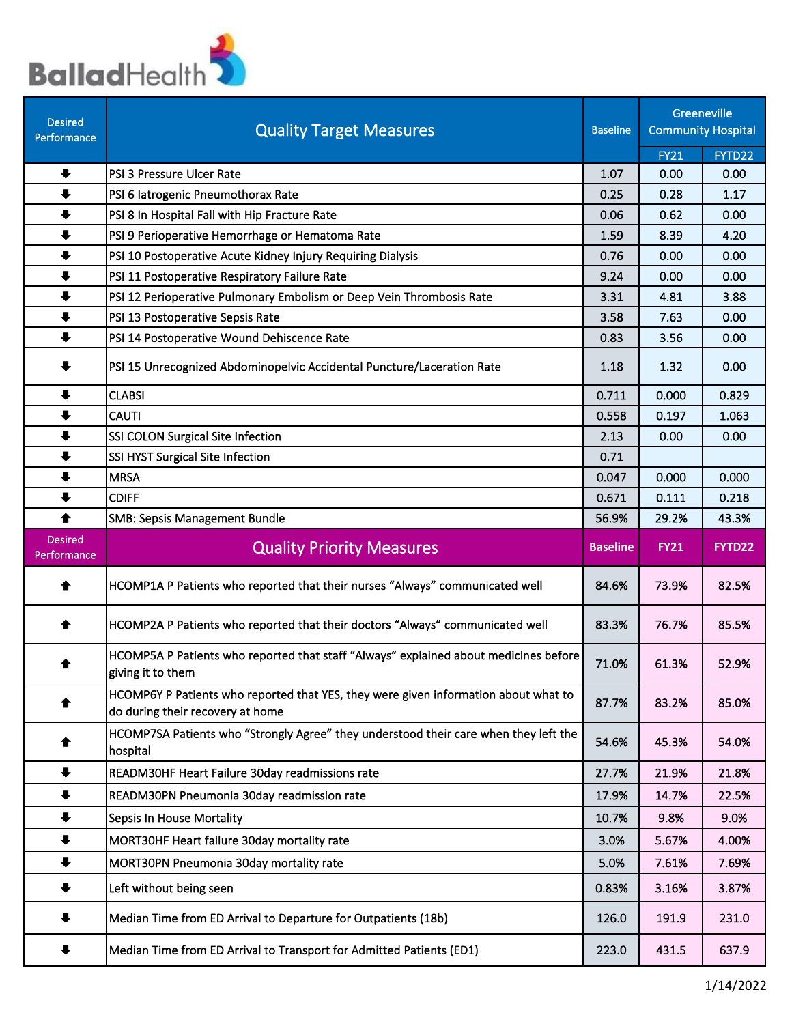

| <b>Desired</b><br>Performance | <b>Quality Target Measures</b>                                                                                          | <b>Baseline</b> |                | Greeneville<br><b>Community Hospital</b> |
|-------------------------------|-------------------------------------------------------------------------------------------------------------------------|-----------------|----------------|------------------------------------------|
|                               |                                                                                                                         |                 | <b>FY21</b>    | FYTD22                                   |
| $\ddot{\phantom{1}}$          | PSI 3 Pressure Ulcer Rate                                                                                               | 1.07            | 0.00           | 0.00                                     |
| $\ddot{\phantom{1}}$          | PSI 6 latrogenic Pneumothorax Rate                                                                                      | 0.25            | 0.28           | 1.17                                     |
| $\ddot{\phantom{1}}$          | PSI 8 In Hospital Fall with Hip Fracture Rate                                                                           | 0.06            | 0.62           | 0.00                                     |
| $\ddot{\phantom{1}}$          | PSI 9 Perioperative Hemorrhage or Hematoma Rate                                                                         | 1.59            | 8.39           | 4.20                                     |
| $\ddot{\phantom{1}}$          | PSI 10 Postoperative Acute Kidney Injury Requiring Dialysis                                                             | 0.76            | 0.00           | 0.00                                     |
| $\ddot{\phantom{1}}$          | PSI 11 Postoperative Respiratory Failure Rate                                                                           | 9.24            | 0.00           | 0.00                                     |
| $\ddot{\phantom{1}}$          | PSI 12 Perioperative Pulmonary Embolism or Deep Vein Thrombosis Rate                                                    | 3.31            | 4.81           | 3.88                                     |
| $\ddot{\phantom{1}}$          | PSI 13 Postoperative Sepsis Rate                                                                                        | 3.58            | 7.63           | 0.00                                     |
| $\ddot{\phantom{1}}$          | PSI 14 Postoperative Wound Dehiscence Rate                                                                              | 0.83            | 3.56           | 0.00                                     |
| ╇                             | PSI 15 Unrecognized Abdominopelvic Accidental Puncture/Laceration Rate                                                  | 1.18            | 1.32           | 0.00                                     |
| $\ddot{\phantom{1}}$          | <b>CLABSI</b>                                                                                                           | 0.711           | 0.000          | 0.829                                    |
| $\ddot{\phantom{1}}$          | <b>CAUTI</b>                                                                                                            | 0.558           | 0.197          | 1.063                                    |
| $\ddot{\phantom{1}}$          | SSI COLON Surgical Site Infection                                                                                       | 2.13            | 0.00           | 0.00                                     |
| $\ddot{\phantom{1}}$          | SSI HYST Surgical Site Infection                                                                                        | 0.71            |                |                                          |
| $\ddot{\phantom{1}}$          | <b>MRSA</b>                                                                                                             | 0.047           | 0.000          | 0.000                                    |
| $\ddot{\phantom{1}}$          | <b>CDIFF</b>                                                                                                            | 0.671           | 0.111          | 0.218                                    |
| 合                             | <b>SMB: Sepsis Management Bundle</b>                                                                                    | 56.9%           | 29.2%          | 43.3%                                    |
|                               |                                                                                                                         |                 |                |                                          |
| <b>Desired</b><br>Performance | <b>Quality Priority Measures</b>                                                                                        | <b>Baseline</b> | <b>FY21</b>    | FYTD22                                   |
| ♠                             | HCOMP1A P Patients who reported that their nurses "Always" communicated well                                            | 84.6%           | 73.9%          | 82.5%                                    |
| ♠                             | HCOMP2A P Patients who reported that their doctors "Always" communicated well                                           | 83.3%           | 76.7%          | 85.5%                                    |
| ♠                             | HCOMP5A P Patients who reported that staff "Always" explained about medicines before<br>giving it to them               | 71.0%           | 61.3%          | 52.9%                                    |
| ♠                             | HCOMP6Y P Patients who reported that YES, they were given information about what to<br>do during their recovery at home | 87.7%           | 83.2%          | 85.0%                                    |
| ♠                             | HCOMP7SA Patients who "Strongly Agree" they understood their care when they left the<br>hospital                        | 54.6%           | 45.3%          | 54.0%                                    |
| $\ddot{\phantom{1}}$          | READM30HF Heart Failure 30day readmissions rate                                                                         | 27.7%           | 21.9%          | 21.8%                                    |
| $\ddot{\phantom{1}}$          | READM30PN Pneumonia 30day readmission rate                                                                              | 17.9%           | 14.7%          | 22.5%                                    |
| $\ddot{\phantom{1}}$          | <b>Sepsis In House Mortality</b>                                                                                        | 10.7%           | 9.8%           | 9.0%                                     |
| $\ddot{\phantom{1}}$          | MORT30HF Heart failure 30day mortality rate                                                                             | 3.0%            | 5.67%          | 4.00%                                    |
|                               |                                                                                                                         |                 |                |                                          |
| $\ddot{\phantom{1}}$<br>♣     | MORT30PN Pneumonia 30day mortality rate<br>Left without being seen                                                      | 5.0%<br>0.83%   | 7.61%<br>3.16% | 7.69%<br>3.87%                           |
| ₩                             | Median Time from ED Arrival to Departure for Outpatients (18b)                                                          | 126.0           | 191.9          | 231.0                                    |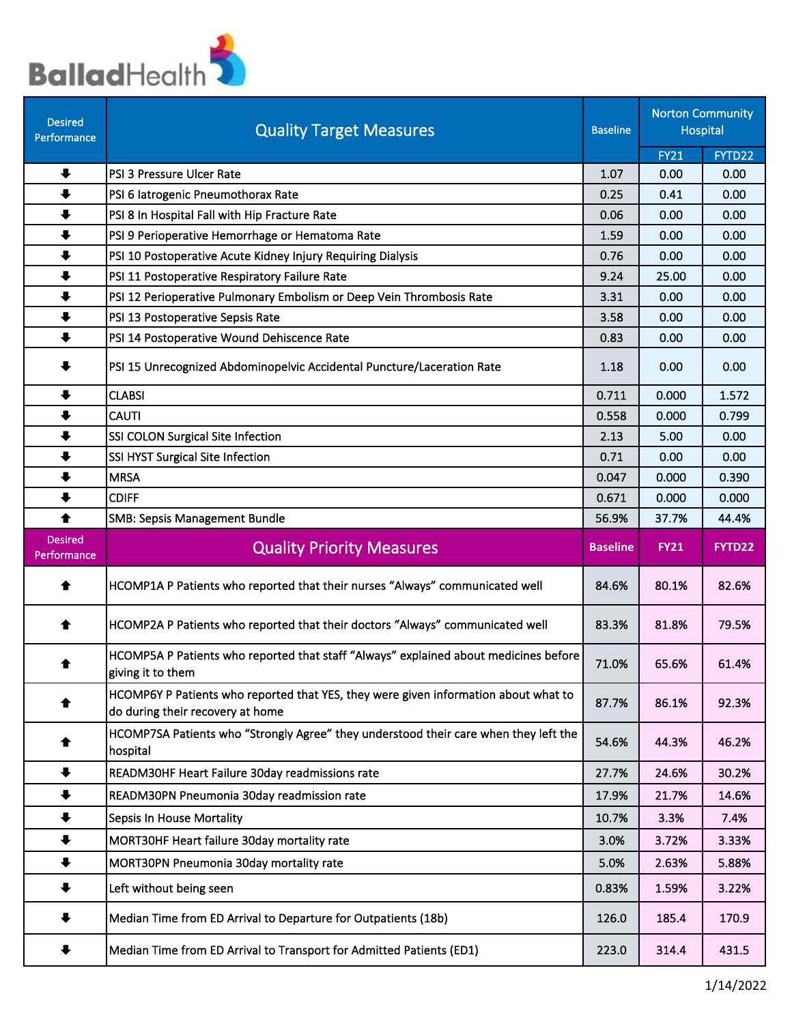

| <b>Desired</b><br>Performance | <b>Quality Target Measures</b>                                                                                          | <b>Baseline</b> |             | <b>Norton Community</b><br><b>Hospital</b> |
|-------------------------------|-------------------------------------------------------------------------------------------------------------------------|-----------------|-------------|--------------------------------------------|
|                               |                                                                                                                         |                 | <b>FY21</b> | FYTD22                                     |
| $\ddot{\phantom{1}}$          | PSI 3 Pressure Ulcer Rate                                                                                               | 1.07            | 0.00        | 0.00                                       |
| $\ddot{\phantom{1}}$          | PSI 6 latrogenic Pneumothorax Rate                                                                                      | 0.25            | 0.41        | 0.00                                       |
| $\ddot{\phantom{1}}$          | PSI 8 In Hospital Fall with Hip Fracture Rate                                                                           | 0.06            | 0.00        | 0.00                                       |
| $\ddot{\phantom{1}}$          | PSI 9 Perioperative Hemorrhage or Hematoma Rate                                                                         | 1.59            | 0.00        | 0.00                                       |
| $\ddot{\phantom{1}}$          | PSI 10 Postoperative Acute Kidney Injury Requiring Dialysis                                                             | 0.76            | 0.00        | 0.00                                       |
| $\ddot{\phantom{1}}$          | PSI 11 Postoperative Respiratory Failure Rate                                                                           | 9.24            | 25.00       | 0.00                                       |
| $\ddot{\phantom{1}}$          | PSI 12 Perioperative Pulmonary Embolism or Deep Vein Thrombosis Rate                                                    | 3.31            | 0.00        | 0.00                                       |
| $\ddot{\phantom{1}}$          | PSI 13 Postoperative Sepsis Rate                                                                                        | 3.58            | 0.00        | 0.00                                       |
| $\ddot{\phantom{1}}$          | PSI 14 Postoperative Wound Dehiscence Rate                                                                              | 0.83            | 0.00        | 0.00                                       |
| ╇                             | PSI 15 Unrecognized Abdominopelvic Accidental Puncture/Laceration Rate                                                  | 1.18            | 0.00        | 0.00                                       |
| $\ddot{\phantom{1}}$          | <b>CLABSI</b>                                                                                                           | 0.711           | 0.000       | 1.572                                      |
| $\ddot{\phantom{1}}$          | <b>CAUTI</b>                                                                                                            | 0.558           | 0.000       | 0.799                                      |
| $\ddot{\phantom{1}}$          | SSI COLON Surgical Site Infection                                                                                       | 2.13            | 5.00        | 0.00                                       |
| $\ddot{\phantom{1}}$          | SSI HYST Surgical Site Infection                                                                                        | 0.71            | 0.00        | 0.00                                       |
| $\ddot{\phantom{1}}$          | <b>MRSA</b>                                                                                                             | 0.047           | 0.000       | 0.390                                      |
| $\ddot{\phantom{1}}$          | <b>CDIFF</b>                                                                                                            | 0.671           | 0.000       | 0.000                                      |
| ♠                             | <b>SMB: Sepsis Management Bundle</b>                                                                                    | 56.9%           | 37.7%       | 44.4%                                      |
| <b>Desired</b><br>Performance | <b>Quality Priority Measures</b>                                                                                        | <b>Baseline</b> | <b>FY21</b> | FYTD22                                     |
|                               |                                                                                                                         |                 |             |                                            |
| ♠                             | HCOMP1A P Patients who reported that their nurses "Always" communicated well                                            | 84.6%           | 80.1%       | 82.6%                                      |
| ♠                             | HCOMP2A P Patients who reported that their doctors "Always" communicated well                                           | 83.3%           | 81.8%       | 79.5%                                      |
| ♠                             | HCOMP5A P Patients who reported that staff "Always" explained about medicines before<br>giving it to them               | 71.0%           | 65.6%       | 61.4%                                      |
|                               | HCOMP6Y P Patients who reported that YES, they were given information about what to<br>do during their recovery at home | 87.7%           | 86.1%       | 92.3%                                      |
| ♠                             | HCOMP7SA Patients who "Strongly Agree" they understood their care when they left the<br>hospital                        | 54.6%           | 44.3%       | 46.2%                                      |
| $\ddot{\phantom{1}}$          | READM30HF Heart Failure 30day readmissions rate                                                                         | 27.7%           | 24.6%       | 30.2%                                      |
| $\ddot{\phantom{1}}$          | READM30PN Pneumonia 30day readmission rate                                                                              | 17.9%           | 21.7%       | 14.6%                                      |
| $\ddot{\phantom{1}}$          | Sepsis In House Mortality                                                                                               | 10.7%           | 3.3%        | 7.4%                                       |
| $\ddot{\phantom{1}}$          | MORT30HF Heart failure 30day mortality rate                                                                             | 3.0%            | 3.72%       | 3.33%                                      |
| $\ddot{\phantom{1}}$          |                                                                                                                         | 5.0%            | 2.63%       | 5.88%                                      |
| ╇                             | MORT30PN Pneumonia 30day mortality rate<br>Left without being seen                                                      | 0.83%           | 1.59%       | 3.22%                                      |
| ₩                             | Median Time from ED Arrival to Departure for Outpatients (18b)                                                          | 126.0           | 185.4       | 170.9                                      |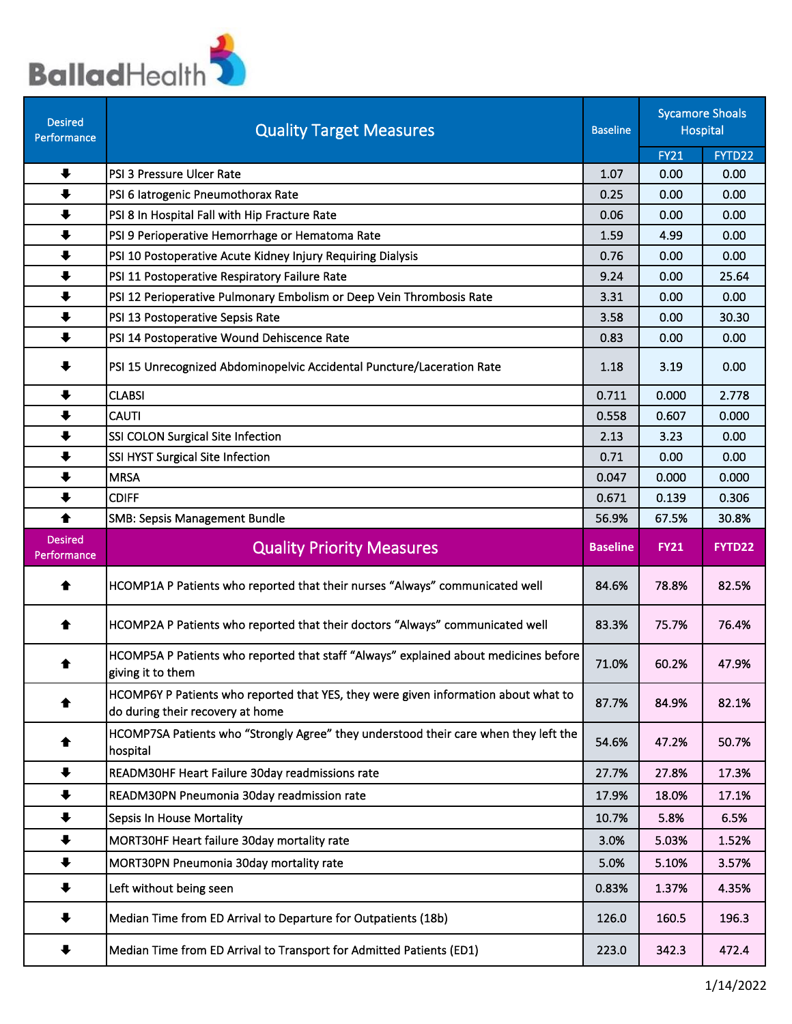

| <b>Desired</b><br>Performance | <b>Quality Target Measures</b>                                                                                          | <b>Baseline</b> |                | <b>Sycamore Shoals</b><br>Hospital |
|-------------------------------|-------------------------------------------------------------------------------------------------------------------------|-----------------|----------------|------------------------------------|
|                               |                                                                                                                         |                 | <b>FY21</b>    | FYTD22                             |
| $\ddot{\phantom{1}}$          | PSI 3 Pressure Ulcer Rate                                                                                               | 1.07            | 0.00           | 0.00                               |
| $\ddot{\phantom{1}}$          | PSI 6 latrogenic Pneumothorax Rate                                                                                      | 0.25            | 0.00           | 0.00                               |
| $\ddot{\phantom{1}}$          | PSI 8 In Hospital Fall with Hip Fracture Rate                                                                           | 0.06            | 0.00           | 0.00                               |
| $\ddot{\phantom{1}}$          | PSI 9 Perioperative Hemorrhage or Hematoma Rate                                                                         | 1.59            | 4.99           | 0.00                               |
| $\ddot{\phantom{1}}$          | PSI 10 Postoperative Acute Kidney Injury Requiring Dialysis                                                             | 0.76            | 0.00           | 0.00                               |
| $\ddot{\phantom{1}}$          | PSI 11 Postoperative Respiratory Failure Rate                                                                           | 9.24            | 0.00           | 25.64                              |
| $\ddot{\phantom{1}}$          | PSI 12 Perioperative Pulmonary Embolism or Deep Vein Thrombosis Rate                                                    | 3.31            | 0.00           | 0.00                               |
| $\ddot{\phantom{1}}$          | PSI 13 Postoperative Sepsis Rate                                                                                        | 3.58            | 0.00           | 30.30                              |
| $\ddot{\phantom{1}}$          | PSI 14 Postoperative Wound Dehiscence Rate                                                                              | 0.83            | 0.00           | 0.00                               |
| $\ddot{\phantom{1}}$          | PSI 15 Unrecognized Abdominopelvic Accidental Puncture/Laceration Rate                                                  | 1.18            | 3.19           | 0.00                               |
| $\ddot{\phantom{1}}$          | <b>CLABSI</b>                                                                                                           | 0.711           | 0.000          | 2.778                              |
| $\ddot{\phantom{1}}$          | <b>CAUTI</b>                                                                                                            | 0.558           | 0.607          | 0.000                              |
| $\ddot{\phantom{1}}$          | SSI COLON Surgical Site Infection                                                                                       | 2.13            | 3.23           | 0.00                               |
| $\ddot{\phantom{1}}$          | SSI HYST Surgical Site Infection                                                                                        | 0.71            | 0.00           | 0.00                               |
| $\ddot{\phantom{1}}$          | <b>MRSA</b>                                                                                                             | 0.047           | 0.000          | 0.000                              |
| $\ddot{\phantom{1}}$          | <b>CDIFF</b>                                                                                                            | 0.671           | 0.139          | 0.306                              |
| ♠                             | <b>SMB: Sepsis Management Bundle</b>                                                                                    | 56.9%           | 67.5%          | 30.8%                              |
|                               |                                                                                                                         |                 |                |                                    |
| <b>Desired</b><br>Performance | <b>Quality Priority Measures</b>                                                                                        | <b>Baseline</b> | <b>FY21</b>    | FYTD22                             |
| ♠                             | HCOMP1A P Patients who reported that their nurses "Always" communicated well                                            | 84.6%           | 78.8%          | 82.5%                              |
| ♠                             | HCOMP2A P Patients who reported that their doctors "Always" communicated well                                           | 83.3%           | 75.7%          | 76.4%                              |
| ☎                             | HCOMP5A P Patients who reported that staff "Always" explained about medicines before<br>giving it to them               | 71.0%           | 60.2%          | 47.9%                              |
| ♠                             | HCOMP6Y P Patients who reported that YES, they were given information about what to<br>do during their recovery at home | 87.7%           | 84.9%          | 82.1%                              |
|                               | HCOMP7SA Patients who "Strongly Agree" they understood their care when they left the<br>hospital                        | 54.6%           | 47.2%          | 50.7%                              |
| $\ddot{\phantom{1}}$          | READM30HF Heart Failure 30day readmissions rate                                                                         | 27.7%           | 27.8%          | 17.3%                              |
| $\ddot{\phantom{1}}$          | READM30PN Pneumonia 30day readmission rate                                                                              | 17.9%           | 18.0%          | 17.1%                              |
| $\ddot{\phantom{1}}$          | Sepsis In House Mortality                                                                                               | 10.7%           | 5.8%           | 6.5%                               |
| $\ddot{\phantom{1}}$          | MORT30HF Heart failure 30day mortality rate                                                                             |                 |                |                                    |
| $\ddot{\phantom{1}}$          |                                                                                                                         | 3.0%            | 5.03%          | 1.52%                              |
| ┺                             | MORT30PN Pneumonia 30day mortality rate<br>Left without being seen                                                      | 5.0%<br>0.83%   | 5.10%<br>1.37% | 3.57%<br>4.35%                     |
| ₩                             | Median Time from ED Arrival to Departure for Outpatients (18b)                                                          | 126.0           | 160.5          | 196.3                              |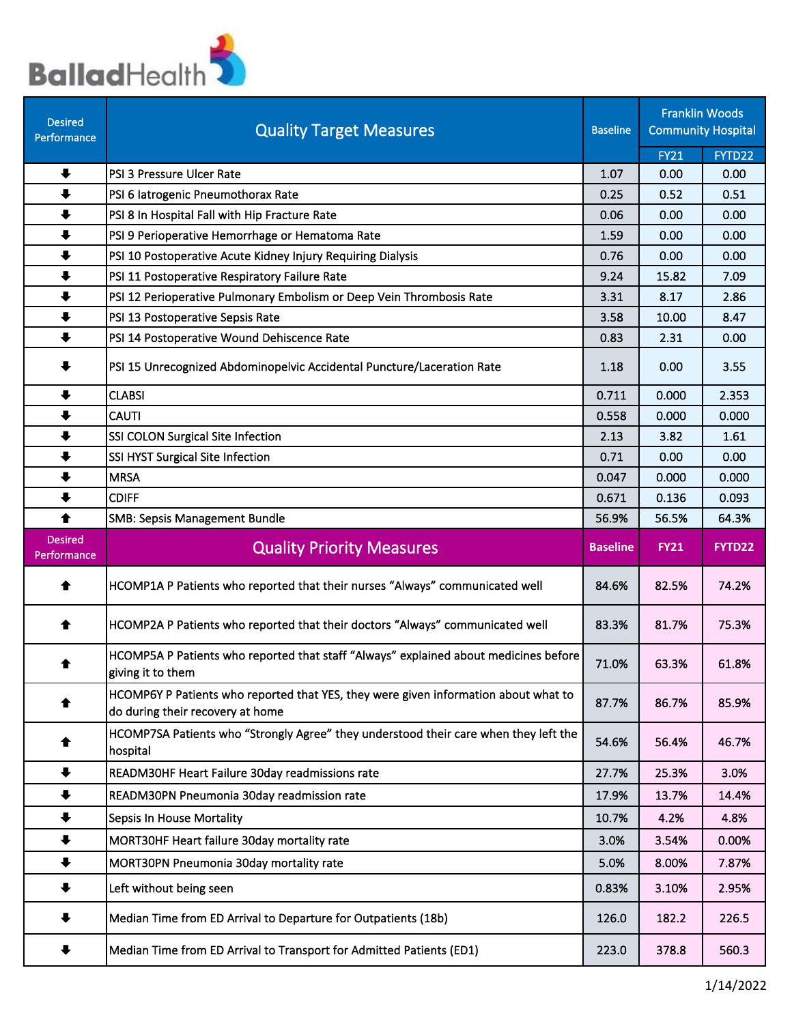

| <b>Desired</b><br>Performance | <b>Quality Target Measures</b>                                                                                          | <b>Baseline</b> |             | <b>Franklin Woods</b><br><b>Community Hospital</b> |
|-------------------------------|-------------------------------------------------------------------------------------------------------------------------|-----------------|-------------|----------------------------------------------------|
|                               |                                                                                                                         |                 | <b>FY21</b> | FYTD22                                             |
| $\ddot{\phantom{1}}$          | PSI 3 Pressure Ulcer Rate                                                                                               | 1.07            | 0.00        | 0.00                                               |
| $\ddot{\phantom{1}}$          | PSI 6 latrogenic Pneumothorax Rate                                                                                      | 0.25            | 0.52        | 0.51                                               |
| $\ddot{\phantom{1}}$          | PSI 8 In Hospital Fall with Hip Fracture Rate                                                                           | 0.06            | 0.00        | 0.00                                               |
| $\ddot{\phantom{1}}$          | PSI 9 Perioperative Hemorrhage or Hematoma Rate                                                                         | 1.59            | 0.00        | 0.00                                               |
| $\ddot{\phantom{1}}$          | PSI 10 Postoperative Acute Kidney Injury Requiring Dialysis                                                             | 0.76            | 0.00        | 0.00                                               |
| $\ddot{\phantom{1}}$          | PSI 11 Postoperative Respiratory Failure Rate                                                                           | 9.24            | 15.82       | 7.09                                               |
| $\ddot{\phantom{1}}$          | PSI 12 Perioperative Pulmonary Embolism or Deep Vein Thrombosis Rate                                                    | 3.31            | 8.17        | 2.86                                               |
| $\ddot{\phantom{1}}$          | PSI 13 Postoperative Sepsis Rate                                                                                        | 3.58            | 10.00       | 8.47                                               |
| $\ddot{\phantom{1}}$          | PSI 14 Postoperative Wound Dehiscence Rate                                                                              | 0.83            | 2.31        | 0.00                                               |
| ╇                             | PSI 15 Unrecognized Abdominopelvic Accidental Puncture/Laceration Rate                                                  | 1.18            | 0.00        | 3.55                                               |
| $\ddot{\phantom{1}}$          | <b>CLABSI</b>                                                                                                           | 0.711           | 0.000       | 2.353                                              |
| $\ddot{\phantom{1}}$          | <b>CAUTI</b>                                                                                                            | 0.558           | 0.000       | 0.000                                              |
| $\ddot{\phantom{1}}$          | SSI COLON Surgical Site Infection                                                                                       | 2.13            | 3.82        | 1.61                                               |
| $\ddot{\phantom{1}}$          | SSI HYST Surgical Site Infection                                                                                        | 0.71            | 0.00        | 0.00                                               |
| $\ddot{\phantom{1}}$          | <b>MRSA</b>                                                                                                             | 0.047           | 0.000       | 0.000                                              |
| $\ddot{\phantom{1}}$          | <b>CDIFF</b>                                                                                                            | 0.671           | 0.136       | 0.093                                              |
| ♠                             | <b>SMB: Sepsis Management Bundle</b>                                                                                    | 56.9%           | 56.5%       | 64.3%                                              |
| <b>Desired</b><br>Performance | <b>Quality Priority Measures</b>                                                                                        | <b>Baseline</b> | <b>FY21</b> | FYTD22                                             |
| ♠                             | HCOMP1A P Patients who reported that their nurses "Always" communicated well                                            | 84.6%           | 82.5%       | 74.2%                                              |
| ♠                             | HCOMP2A P Patients who reported that their doctors "Always" communicated well                                           | 83.3%           | 81.7%       | 75.3%                                              |
| ♠                             | HCOMP5A P Patients who reported that staff "Always" explained about medicines before<br>giving it to them               | 71.0%           | 63.3%       | 61.8%                                              |
| ♠                             | HCOMP6Y P Patients who reported that YES, they were given information about what to<br>do during their recovery at home | 87.7%           | 86.7%       | 85.9%                                              |
| ♠                             | HCOMP7SA Patients who "Strongly Agree" they understood their care when they left the<br>hospital                        | 54.6%           | 56.4%       | 46.7%                                              |
| $\ddot{\phantom{1}}$          | READM30HF Heart Failure 30day readmissions rate                                                                         | 27.7%           | 25.3%       | 3.0%                                               |
| $\ddot{\phantom{1}}$          | READM30PN Pneumonia 30day readmission rate                                                                              | 17.9%           | 13.7%       | 14.4%                                              |
| $\ddot{\phantom{1}}$          | <b>Sepsis In House Mortality</b>                                                                                        | 10.7%           | 4.2%        | 4.8%                                               |
| $\ddot{\phantom{1}}$          | MORT30HF Heart failure 30day mortality rate                                                                             | 3.0%            | 3.54%       | 0.00%                                              |
| $\ddot{\phantom{1}}$          | MORT30PN Pneumonia 30day mortality rate                                                                                 | 5.0%            | 8.00%       | 7.87%                                              |
| ┺                             |                                                                                                                         |                 |             | 2.95%                                              |
|                               | Left without being seen                                                                                                 | 0.83%           | 3.10%       |                                                    |
| ₩                             | Median Time from ED Arrival to Departure for Outpatients (18b)                                                          | 126.0           | 182.2       | 226.5                                              |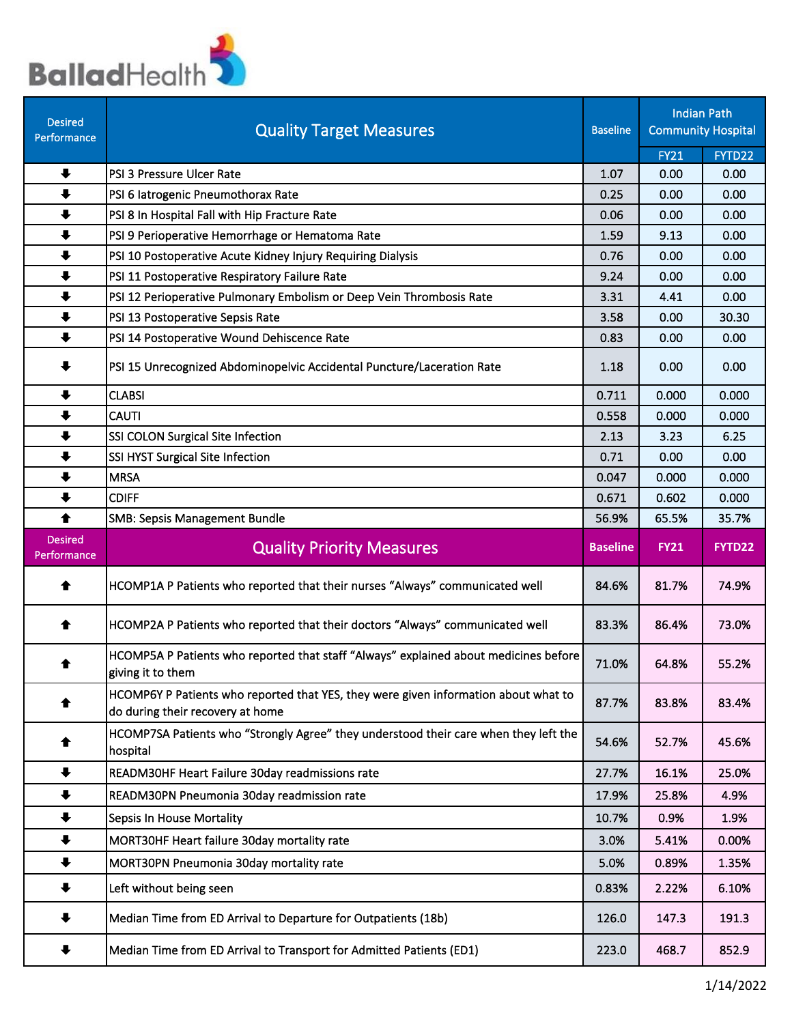

| <b>Desired</b><br>Performance | <b>Quality Target Measures</b>                                                                                          | <b>Baseline</b> |             | <b>Indian Path</b><br><b>Community Hospital</b> |
|-------------------------------|-------------------------------------------------------------------------------------------------------------------------|-----------------|-------------|-------------------------------------------------|
|                               |                                                                                                                         |                 | <b>FY21</b> | FYTD22                                          |
| $\ddot{\phantom{1}}$          | PSI 3 Pressure Ulcer Rate                                                                                               | 1.07            | 0.00        | 0.00                                            |
| $\ddot{\phantom{1}}$          | PSI 6 latrogenic Pneumothorax Rate                                                                                      | 0.25            | 0.00        | 0.00                                            |
| $\ddot{\phantom{1}}$          | PSI 8 In Hospital Fall with Hip Fracture Rate                                                                           | 0.06            | 0.00        | 0.00                                            |
| $\ddot{\phantom{1}}$          | PSI 9 Perioperative Hemorrhage or Hematoma Rate                                                                         | 1.59            | 9.13        | 0.00                                            |
| $\ddot{\phantom{1}}$          | PSI 10 Postoperative Acute Kidney Injury Requiring Dialysis                                                             | 0.76            | 0.00        | 0.00                                            |
| $\ddot{\phantom{1}}$          | PSI 11 Postoperative Respiratory Failure Rate                                                                           | 9.24            | 0.00        | 0.00                                            |
| $\ddot{\phantom{1}}$          | PSI 12 Perioperative Pulmonary Embolism or Deep Vein Thrombosis Rate                                                    | 3.31            | 4.41        | 0.00                                            |
| $\ddot{\phantom{1}}$          | PSI 13 Postoperative Sepsis Rate                                                                                        | 3.58            | 0.00        | 30.30                                           |
| $\ddot{\phantom{1}}$          | PSI 14 Postoperative Wound Dehiscence Rate                                                                              | 0.83            | 0.00        | 0.00                                            |
| $\ddot{\phantom{1}}$          | PSI 15 Unrecognized Abdominopelvic Accidental Puncture/Laceration Rate                                                  | 1.18            | 0.00        | 0.00                                            |
| $\ddot{\phantom{1}}$          | <b>CLABSI</b>                                                                                                           | 0.711           | 0.000       | 0.000                                           |
| $\ddot{\phantom{1}}$          | <b>CAUTI</b>                                                                                                            | 0.558           | 0.000       | 0.000                                           |
| $\ddot{\phantom{1}}$          | SSI COLON Surgical Site Infection                                                                                       | 2.13            | 3.23        | 6.25                                            |
| $\ddot{\phantom{1}}$          | SSI HYST Surgical Site Infection                                                                                        | 0.71            | 0.00        | 0.00                                            |
| $\ddot{\phantom{1}}$          | <b>MRSA</b>                                                                                                             | 0.047           | 0.000       | 0.000                                           |
| $\ddot{\phantom{1}}$          | <b>CDIFF</b>                                                                                                            | 0.671           | 0.602       | 0.000                                           |
| ♠                             | <b>SMB: Sepsis Management Bundle</b>                                                                                    | 56.9%           | 65.5%       | 35.7%                                           |
| <b>Desired</b><br>Performance | <b>Quality Priority Measures</b>                                                                                        | <b>Baseline</b> | <b>FY21</b> | FYTD22                                          |
| ♠                             | HCOMP1A P Patients who reported that their nurses "Always" communicated well                                            | 84.6%           | 81.7%       | 74.9%                                           |
| ♠                             | HCOMP2A P Patients who reported that their doctors "Always" communicated well                                           | 83.3%           | 86.4%       | 73.0%                                           |
| ♠                             | HCOMP5A P Patients who reported that staff "Always" explained about medicines before<br>giving it to them               | 71.0%           | 64.8%       | 55.2%                                           |
|                               | HCOMP6Y P Patients who reported that YES, they were given information about what to<br>do during their recovery at home | 87.7%           | 83.8%       | 83.4%                                           |
| ♠                             | HCOMP7SA Patients who "Strongly Agree" they understood their care when they left the<br>hospital                        | 54.6%           | 52.7%       | 45.6%                                           |
| $\ddot{\phantom{1}}$          | READM30HF Heart Failure 30day readmissions rate                                                                         | 27.7%           | 16.1%       | 25.0%                                           |
| $\ddot{\phantom{1}}$          | READM30PN Pneumonia 30day readmission rate                                                                              | 17.9%           | 25.8%       | 4.9%                                            |
| $\ddot{\phantom{1}}$          | <b>Sepsis In House Mortality</b>                                                                                        | 10.7%           | 0.9%        | 1.9%                                            |
| $\ddot{\phantom{1}}$          | MORT30HF Heart failure 30day mortality rate                                                                             | 3.0%            | 5.41%       | 0.00%                                           |
| $\ddot{\phantom{1}}$          | MORT30PN Pneumonia 30day mortality rate                                                                                 | 5.0%            | 0.89%       | 1.35%                                           |
| ╇                             | Left without being seen                                                                                                 | 0.83%           | 2.22%       | 6.10%                                           |
|                               |                                                                                                                         |                 |             |                                                 |
|                               | Median Time from ED Arrival to Departure for Outpatients (18b)                                                          | 126.0           | 147.3       | 191.3                                           |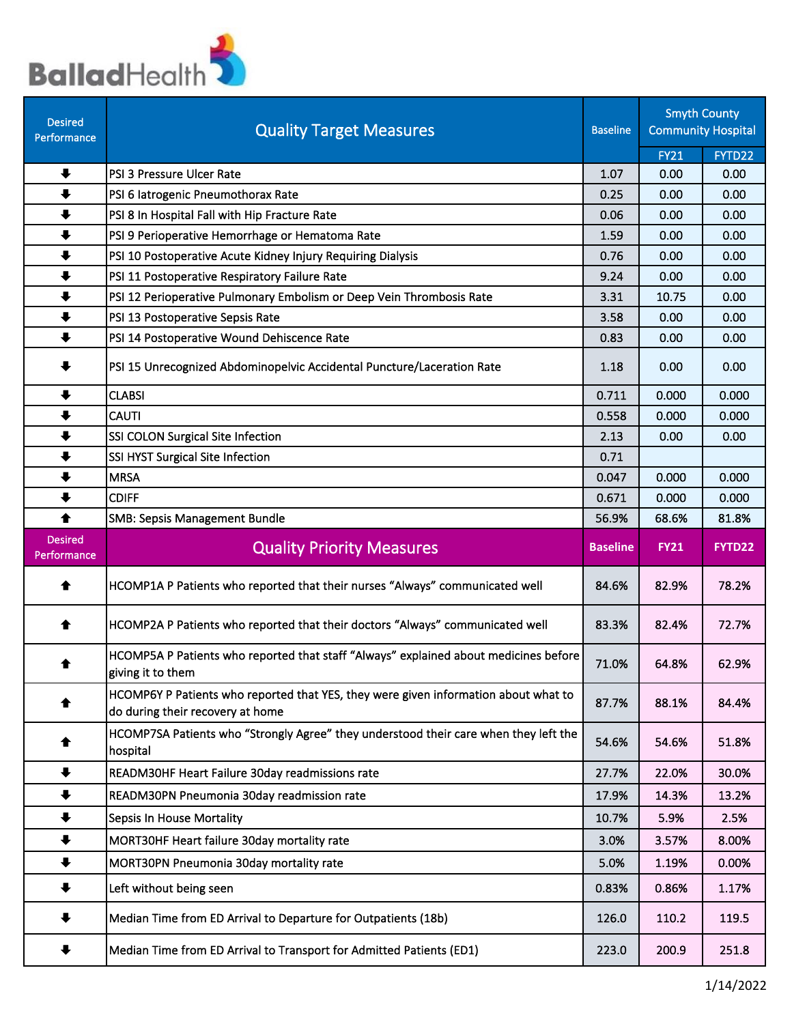

| <b>Desired</b><br>Performance | <b>Quality Target Measures</b>                                                                                          | <b>Baseline</b> |             | <b>Smyth County</b><br><b>Community Hospital</b> |
|-------------------------------|-------------------------------------------------------------------------------------------------------------------------|-----------------|-------------|--------------------------------------------------|
|                               |                                                                                                                         |                 | <b>FY21</b> | FYTD22                                           |
| $\ddot{\phantom{1}}$          | PSI 3 Pressure Ulcer Rate                                                                                               | 1.07            | 0.00        | 0.00                                             |
| $\ddot{\phantom{1}}$          | PSI 6 latrogenic Pneumothorax Rate                                                                                      | 0.25            | 0.00        | 0.00                                             |
| $\ddot{\phantom{1}}$          | PSI 8 In Hospital Fall with Hip Fracture Rate                                                                           | 0.06            | 0.00        | 0.00                                             |
| $\ddot{\phantom{1}}$          | PSI 9 Perioperative Hemorrhage or Hematoma Rate                                                                         | 1.59            | 0.00        | 0.00                                             |
| $\ddot{\phantom{1}}$          | PSI 10 Postoperative Acute Kidney Injury Requiring Dialysis                                                             | 0.76            | 0.00        | 0.00                                             |
| $\ddot{\phantom{1}}$          | PSI 11 Postoperative Respiratory Failure Rate                                                                           | 9.24            | 0.00        | 0.00                                             |
| $\ddot{\phantom{1}}$          | PSI 12 Perioperative Pulmonary Embolism or Deep Vein Thrombosis Rate                                                    | 3.31            | 10.75       | 0.00                                             |
| $\ddot{\phantom{1}}$          | PSI 13 Postoperative Sepsis Rate                                                                                        | 3.58            | 0.00        | 0.00                                             |
| $\ddot{\phantom{1}}$          | PSI 14 Postoperative Wound Dehiscence Rate                                                                              | 0.83            | 0.00        | 0.00                                             |
| $\ddot{\phantom{1}}$          | PSI 15 Unrecognized Abdominopelvic Accidental Puncture/Laceration Rate                                                  | 1.18            | 0.00        | 0.00                                             |
| $\ddot{\phantom{1}}$          | <b>CLABSI</b>                                                                                                           | 0.711           | 0.000       | 0.000                                            |
| $\ddot{\phantom{1}}$          | <b>CAUTI</b>                                                                                                            | 0.558           | 0.000       | 0.000                                            |
| $\ddot{\phantom{1}}$          | SSI COLON Surgical Site Infection                                                                                       | 2.13            | 0.00        | 0.00                                             |
| $\ddot{\phantom{1}}$          | SSI HYST Surgical Site Infection                                                                                        | 0.71            |             |                                                  |
| $\ddot{\phantom{1}}$          | <b>MRSA</b>                                                                                                             | 0.047           | 0.000       | 0.000                                            |
| $\ddot{\phantom{1}}$          | <b>CDIFF</b>                                                                                                            | 0.671           | 0.000       | 0.000                                            |
| ♠                             | <b>SMB: Sepsis Management Bundle</b>                                                                                    | 56.9%           | 68.6%       | 81.8%                                            |
| <b>Desired</b><br>Performance | <b>Quality Priority Measures</b>                                                                                        | <b>Baseline</b> | <b>FY21</b> | FYTD22                                           |
| ♠                             | HCOMP1A P Patients who reported that their nurses "Always" communicated well                                            | 84.6%           | 82.9%       | 78.2%                                            |
| ♠                             | HCOMP2A P Patients who reported that their doctors "Always" communicated well                                           | 83.3%           | 82.4%       | 72.7%                                            |
| ♠                             | HCOMP5A P Patients who reported that staff "Always" explained about medicines before<br>giving it to them               | 71.0%           | 64.8%       | 62.9%                                            |
|                               | HCOMP6Y P Patients who reported that YES, they were given information about what to<br>do during their recovery at home | 87.7%           | 88.1%       | 84.4%                                            |
| ♠                             | HCOMP7SA Patients who "Strongly Agree" they understood their care when they left the<br>hospital                        | 54.6%           | 54.6%       | 51.8%                                            |
| $\ddot{\phantom{1}}$          | READM30HF Heart Failure 30day readmissions rate                                                                         | 27.7%           | 22.0%       | 30.0%                                            |
| $\ddot{\phantom{1}}$          | READM30PN Pneumonia 30day readmission rate                                                                              | 17.9%           | 14.3%       | 13.2%                                            |
| $\ddot{\phantom{1}}$          | Sepsis In House Mortality                                                                                               | 10.7%           | 5.9%        | 2.5%                                             |
| $\ddot{\phantom{1}}$          | MORT30HF Heart failure 30day mortality rate                                                                             | 3.0%            | 3.57%       | 8.00%                                            |
| $\ddot{\phantom{1}}$          | MORT30PN Pneumonia 30day mortality rate                                                                                 | 5.0%            | 1.19%       | 0.00%                                            |
| ╇                             | Left without being seen                                                                                                 | 0.83%           | 0.86%       | 1.17%                                            |
|                               |                                                                                                                         |                 |             |                                                  |
| ₩                             | Median Time from ED Arrival to Departure for Outpatients (18b)                                                          | 126.0           | 110.2       | 119.5                                            |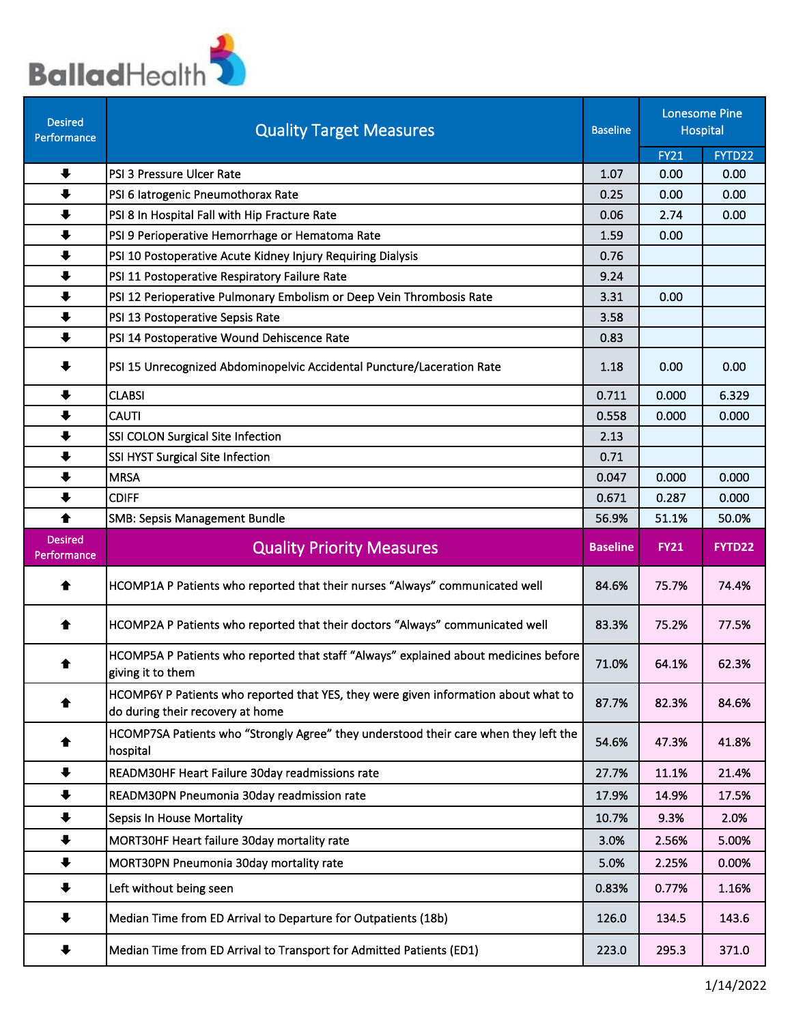

| <b>Desired</b><br>Performance | <b>Quality Target Measures</b>                                                                                          | <b>Baseline</b> |             | <b>Lonesome Pine</b><br><b>Hospital</b> |
|-------------------------------|-------------------------------------------------------------------------------------------------------------------------|-----------------|-------------|-----------------------------------------|
|                               |                                                                                                                         |                 | <b>FY21</b> | FYTD22                                  |
| $\ddot{\phantom{1}}$          | PSI 3 Pressure Ulcer Rate                                                                                               | 1.07            | 0.00        | 0.00                                    |
| $\ddot{\phantom{1}}$          | PSI 6 latrogenic Pneumothorax Rate                                                                                      | 0.25            | 0.00        | 0.00                                    |
| $\ddot{\phantom{1}}$          | PSI 8 In Hospital Fall with Hip Fracture Rate                                                                           | 0.06            | 2.74        | 0.00                                    |
| $\ddot{\phantom{1}}$          | PSI 9 Perioperative Hemorrhage or Hematoma Rate                                                                         | 1.59            | 0.00        |                                         |
| $\ddot{\phantom{1}}$          | PSI 10 Postoperative Acute Kidney Injury Requiring Dialysis                                                             | 0.76            |             |                                         |
| $\ddot{\phantom{1}}$          | PSI 11 Postoperative Respiratory Failure Rate                                                                           | 9.24            |             |                                         |
| $\ddot{\phantom{1}}$          | PSI 12 Perioperative Pulmonary Embolism or Deep Vein Thrombosis Rate                                                    | 3.31            | 0.00        |                                         |
| $\ddot{\phantom{1}}$          | PSI 13 Postoperative Sepsis Rate                                                                                        | 3.58            |             |                                         |
| $\ddot{\phantom{1}}$          | PSI 14 Postoperative Wound Dehiscence Rate                                                                              | 0.83            |             |                                         |
| $\ddot{\phantom{1}}$          | PSI 15 Unrecognized Abdominopelvic Accidental Puncture/Laceration Rate                                                  | 1.18            | 0.00        | 0.00                                    |
| $\ddot{\phantom{1}}$          | <b>CLABSI</b>                                                                                                           | 0.711           | 0.000       | 6.329                                   |
| $\ddot{\phantom{1}}$          | <b>CAUTI</b>                                                                                                            | 0.558           | 0.000       | 0.000                                   |
| $\ddot{\phantom{1}}$          | SSI COLON Surgical Site Infection                                                                                       | 2.13            |             |                                         |
| $\ddot{\phantom{1}}$          | SSI HYST Surgical Site Infection                                                                                        | 0.71            |             |                                         |
| $\ddot{\phantom{1}}$          | <b>MRSA</b>                                                                                                             | 0.047           | 0.000       | 0.000                                   |
| $\ddot{\phantom{1}}$          | <b>CDIFF</b>                                                                                                            | 0.671           | 0.287       | 0.000                                   |
| ♠                             | <b>SMB: Sepsis Management Bundle</b>                                                                                    | 56.9%           | 51.1%       | 50.0%                                   |
|                               |                                                                                                                         |                 |             |                                         |
| <b>Desired</b><br>Performance | <b>Quality Priority Measures</b>                                                                                        | <b>Baseline</b> | <b>FY21</b> | <b>FYTD22</b>                           |
| ♠                             | HCOMP1A P Patients who reported that their nurses "Always" communicated well                                            | 84.6%           | 75.7%       | 74.4%                                   |
| ♠                             | HCOMP2A P Patients who reported that their doctors "Always" communicated well                                           | 83.3%           | 75.2%       | 77.5%                                   |
| ♠                             | HCOMP5A P Patients who reported that staff "Always" explained about medicines before<br>giving it to them               | 71.0%           | 64.1%       | 62.3%                                   |
|                               | HCOMP6Y P Patients who reported that YES, they were given information about what to<br>do during their recovery at home | 87.7%           | 82.3%       | 84.6%                                   |
| ♠                             | HCOMP7SA Patients who "Strongly Agree" they understood their care when they left the<br>hospital                        | 54.6%           | 47.3%       | 41.8%                                   |
| $\ddot{\phantom{1}}$          | READM30HF Heart Failure 30day readmissions rate                                                                         | 27.7%           | 11.1%       | 21.4%                                   |
| $\ddot{\phantom{1}}$          | READM30PN Pneumonia 30day readmission rate                                                                              | 17.9%           | 14.9%       | 17.5%                                   |
| $\ddot{\phantom{1}}$          | <b>Sepsis In House Mortality</b>                                                                                        | 10.7%           | 9.3%        | 2.0%                                    |
| $\ddagger$                    | MORT30HF Heart failure 30day mortality rate                                                                             | 3.0%            | 2.56%       | 5.00%                                   |
| $\ddot{\phantom{1}}$          | MORT30PN Pneumonia 30day mortality rate                                                                                 | 5.0%            | 2.25%       | 0.00%                                   |
| ╇                             | Left without being seen                                                                                                 | 0.83%           | 0.77%       | 1.16%                                   |
| ₩                             | Median Time from ED Arrival to Departure for Outpatients (18b)                                                          | 126.0           | 134.5       | 143.6                                   |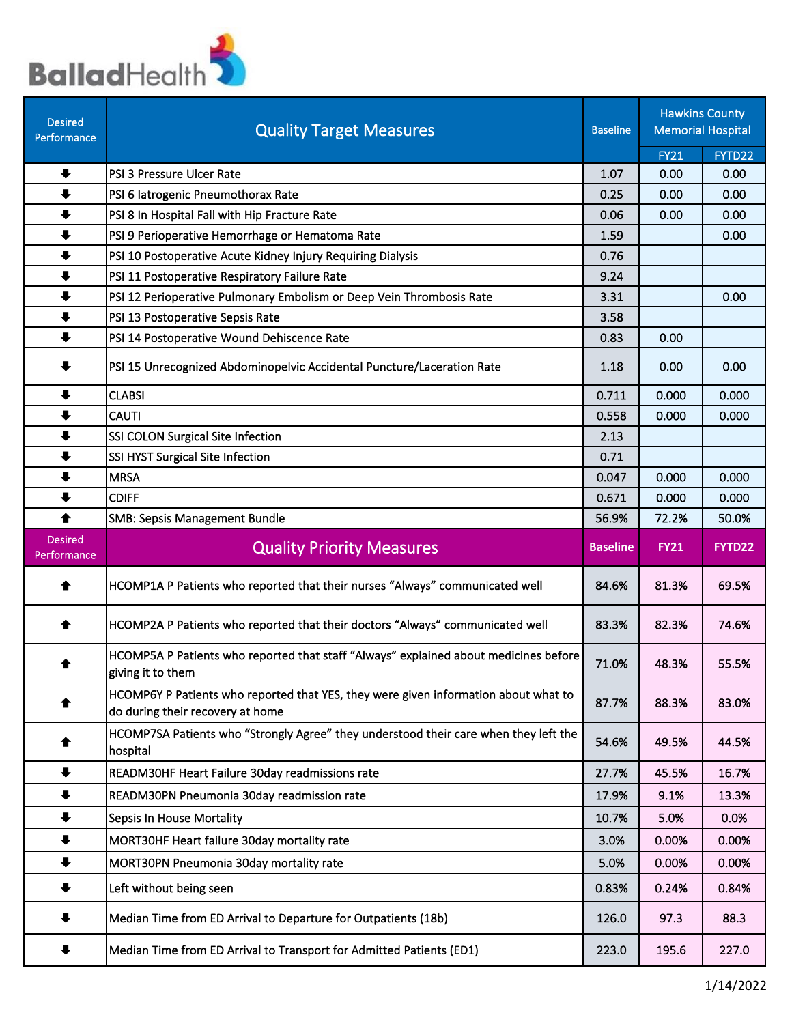

| <b>Desired</b><br>Performance | <b>Quality Target Measures</b>                                                                                          | <b>Baseline</b> |             | <b>Hawkins County</b><br><b>Memorial Hospital</b> |
|-------------------------------|-------------------------------------------------------------------------------------------------------------------------|-----------------|-------------|---------------------------------------------------|
|                               |                                                                                                                         |                 | <b>FY21</b> | FYTD22                                            |
| $\ddot{\phantom{1}}$          | PSI 3 Pressure Ulcer Rate                                                                                               | 1.07            | 0.00        | 0.00                                              |
| $\ddot{\phantom{1}}$          | PSI 6 latrogenic Pneumothorax Rate                                                                                      | 0.25            | 0.00        | 0.00                                              |
| $\ddot{\phantom{1}}$          | PSI 8 In Hospital Fall with Hip Fracture Rate                                                                           | 0.06            | 0.00        | 0.00                                              |
| $\ddot{\phantom{1}}$          | PSI 9 Perioperative Hemorrhage or Hematoma Rate                                                                         | 1.59            |             | 0.00                                              |
| $\ddot{\phantom{1}}$          | PSI 10 Postoperative Acute Kidney Injury Requiring Dialysis                                                             | 0.76            |             |                                                   |
| $\ddot{\phantom{1}}$          | PSI 11 Postoperative Respiratory Failure Rate                                                                           | 9.24            |             |                                                   |
| $\ddot{\phantom{1}}$          | PSI 12 Perioperative Pulmonary Embolism or Deep Vein Thrombosis Rate                                                    | 3.31            |             | 0.00                                              |
| $\ddot{\phantom{1}}$          | PSI 13 Postoperative Sepsis Rate                                                                                        | 3.58            |             |                                                   |
| $\ddot{\phantom{1}}$          | PSI 14 Postoperative Wound Dehiscence Rate                                                                              | 0.83            | 0.00        |                                                   |
| ₩                             | PSI 15 Unrecognized Abdominopelvic Accidental Puncture/Laceration Rate                                                  | 1.18            | 0.00        | 0.00                                              |
| $\ddot{\phantom{1}}$          | <b>CLABSI</b>                                                                                                           | 0.711           | 0.000       | 0.000                                             |
| $\ddot{\phantom{1}}$          | <b>CAUTI</b>                                                                                                            | 0.558           | 0.000       | 0.000                                             |
| $\ddot{\phantom{1}}$          | SSI COLON Surgical Site Infection                                                                                       | 2.13            |             |                                                   |
| $\ddot{\phantom{1}}$          | SSI HYST Surgical Site Infection                                                                                        | 0.71            |             |                                                   |
| $\ddot{\phantom{1}}$          | <b>MRSA</b>                                                                                                             | 0.047           | 0.000       | 0.000                                             |
| $\ddagger$                    | <b>CDIFF</b>                                                                                                            | 0.671           | 0.000       | 0.000                                             |
| $\blacklozenge$               | <b>SMB: Sepsis Management Bundle</b>                                                                                    | 56.9%           | 72.2%       | 50.0%                                             |
| <b>Desired</b><br>Performance | <b>Quality Priority Measures</b>                                                                                        | <b>Baseline</b> | <b>FY21</b> | FYTD22                                            |
| ♠                             | HCOMP1A P Patients who reported that their nurses "Always" communicated well                                            | 84.6%           | 81.3%       | 69.5%                                             |
| ♠                             | HCOMP2A P Patients who reported that their doctors "Always" communicated well                                           | 83.3%           | 82.3%       | 74.6%                                             |
| ♠                             | HCOMP5A P Patients who reported that staff "Always" explained about medicines before<br>giving it to them               | 71.0%           | 48.3%       | 55.5%                                             |
|                               | HCOMP6Y P Patients who reported that YES, they were given information about what to<br>do during their recovery at home | 87.7%           | 88.3%       | 83.0%                                             |
|                               | HCOMP7SA Patients who "Strongly Agree" they understood their care when they left the<br>hospital                        | 54.6%           | 49.5%       | 44.5%                                             |
| $\ddot{\phantom{1}}$          | READM30HF Heart Failure 30day readmissions rate                                                                         | 27.7%           | 45.5%       | 16.7%                                             |
| $\ddot{\phantom{1}}$          | READM30PN Pneumonia 30day readmission rate                                                                              | 17.9%           | 9.1%        | 13.3%                                             |
| $\ddot{\phantom{1}}$          | Sepsis In House Mortality                                                                                               | 10.7%           | 5.0%        | 0.0%                                              |
| $\ddot{\phantom{1}}$          | MORT30HF Heart failure 30day mortality rate                                                                             | 3.0%            | 0.00%       | 0.00%                                             |
| $\ddot{\phantom{1}}$          | MORT30PN Pneumonia 30day mortality rate                                                                                 | 5.0%            | 0.00%       | 0.00%                                             |
| $\ddot{\phantom{1}}$          | Left without being seen                                                                                                 | 0.83%           | 0.24%       | 0.84%                                             |
| ₩                             | Median Time from ED Arrival to Departure for Outpatients (18b)                                                          | 126.0           | 97.3        | 88.3                                              |
|                               |                                                                                                                         |                 |             |                                                   |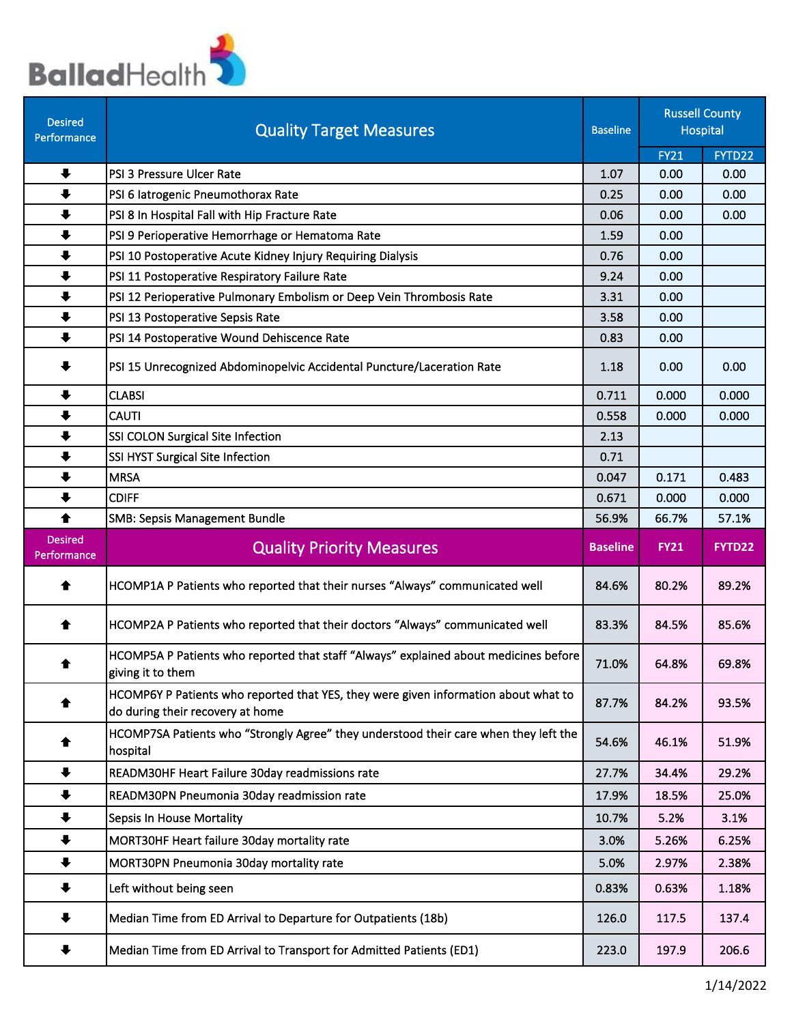

| <b>Desired</b><br>Performance | <b>Quality Target Measures</b>                                                                                          | <b>Baseline</b> |                | <b>Russell County</b><br><b>Hospital</b> |  |
|-------------------------------|-------------------------------------------------------------------------------------------------------------------------|-----------------|----------------|------------------------------------------|--|
|                               |                                                                                                                         |                 | <b>FY21</b>    | FYTD22                                   |  |
| $\ddot{\phantom{1}}$          | PSI 3 Pressure Ulcer Rate                                                                                               | 1.07            | 0.00           | 0.00                                     |  |
| $\ddot{\phantom{1}}$          | PSI 6 latrogenic Pneumothorax Rate                                                                                      | 0.25            | 0.00           | 0.00                                     |  |
| $\ddot{\phantom{1}}$          | PSI 8 In Hospital Fall with Hip Fracture Rate                                                                           | 0.06            | 0.00           | 0.00                                     |  |
| $\ddot{\phantom{1}}$          | PSI 9 Perioperative Hemorrhage or Hematoma Rate                                                                         | 1.59            | 0.00           |                                          |  |
| $\ddot{\phantom{1}}$          | PSI 10 Postoperative Acute Kidney Injury Requiring Dialysis                                                             | 0.76            | 0.00           |                                          |  |
| $\ddot{\phantom{1}}$          | PSI 11 Postoperative Respiratory Failure Rate                                                                           | 9.24            | 0.00           |                                          |  |
| $\ddot{\phantom{1}}$          | PSI 12 Perioperative Pulmonary Embolism or Deep Vein Thrombosis Rate                                                    | 3.31            | 0.00           |                                          |  |
| $\ddot{\phantom{1}}$          | PSI 13 Postoperative Sepsis Rate                                                                                        | 3.58            | 0.00           |                                          |  |
| $\ddot{\phantom{1}}$          | PSI 14 Postoperative Wound Dehiscence Rate                                                                              | 0.83            | 0.00           |                                          |  |
| $\ddot{\phantom{1}}$          | PSI 15 Unrecognized Abdominopelvic Accidental Puncture/Laceration Rate                                                  | 1.18            | 0.00           | 0.00                                     |  |
| $\ddot{\phantom{1}}$          | <b>CLABSI</b>                                                                                                           | 0.711           | 0.000          | 0.000                                    |  |
| $\ddot{\phantom{1}}$          | <b>CAUTI</b>                                                                                                            | 0.558           | 0.000          | 0.000                                    |  |
| $\ddot{\phantom{1}}$          | SSI COLON Surgical Site Infection                                                                                       | 2.13            |                |                                          |  |
| $\ddot{\phantom{1}}$          | SSI HYST Surgical Site Infection                                                                                        | 0.71            |                |                                          |  |
| $\ddot{\phantom{1}}$          | <b>MRSA</b>                                                                                                             | 0.047           | 0.171          | 0.483                                    |  |
| $\ddot{\phantom{1}}$          | <b>CDIFF</b>                                                                                                            | 0.671           | 0.000          | 0.000                                    |  |
| ♠                             | <b>SMB: Sepsis Management Bundle</b>                                                                                    | 56.9%           | 66.7%          | 57.1%                                    |  |
|                               |                                                                                                                         |                 |                |                                          |  |
| <b>Desired</b><br>Performance | <b>Quality Priority Measures</b>                                                                                        | <b>Baseline</b> | <b>FY21</b>    | <b>FYTD22</b>                            |  |
| ♠                             | HCOMP1A P Patients who reported that their nurses "Always" communicated well                                            | 84.6%           | 80.2%          | 89.2%                                    |  |
| ♠                             | HCOMP2A P Patients who reported that their doctors "Always" communicated well                                           | 83.3%           | 84.5%          | 85.6%                                    |  |
| ♠                             | HCOMP5A P Patients who reported that staff "Always" explained about medicines before<br>giving it to them               | 71.0%           | 64.8%          | 69.8%                                    |  |
|                               | HCOMP6Y P Patients who reported that YES, they were given information about what to<br>do during their recovery at home | 87.7%           | 84.2%          | 93.5%                                    |  |
| ♠                             | HCOMP7SA Patients who "Strongly Agree" they understood their care when they left the<br>hospital                        | 54.6%           | 46.1%          | 51.9%                                    |  |
| $\ddot{\phantom{1}}$          | READM30HF Heart Failure 30day readmissions rate                                                                         | 27.7%           | 34.4%          | 29.2%                                    |  |
| $\ddot{\phantom{1}}$          | READM30PN Pneumonia 30day readmission rate                                                                              | 17.9%           | 18.5%          | 25.0%                                    |  |
| $\ddot{\phantom{1}}$          | <b>Sepsis In House Mortality</b>                                                                                        | 10.7%           | 5.2%           | 3.1%                                     |  |
| $\ddagger$                    | MORT30HF Heart failure 30day mortality rate                                                                             | 3.0%            | 5.26%          | 6.25%                                    |  |
|                               |                                                                                                                         |                 |                |                                          |  |
| $\ddot{\phantom{1}}$<br>╇     | MORT30PN Pneumonia 30day mortality rate<br>Left without being seen                                                      | 5.0%<br>0.83%   | 2.97%<br>0.63% | 2.38%<br>1.18%                           |  |
| ₩                             | Median Time from ED Arrival to Departure for Outpatients (18b)                                                          | 126.0           | 117.5          | 137.4                                    |  |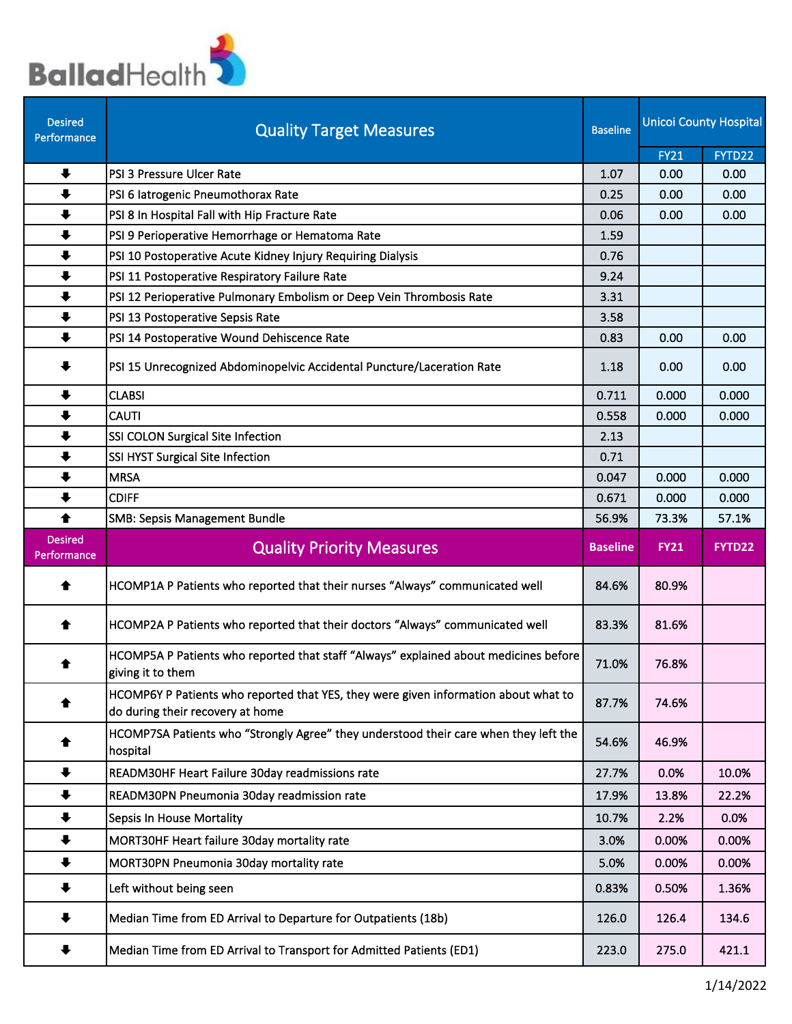

| <b>Desired</b><br>Performance | <b>Quality Target Measures</b>                                                                                          | <b>Baseline</b> | <b>Unicol County Hospital</b> |        |
|-------------------------------|-------------------------------------------------------------------------------------------------------------------------|-----------------|-------------------------------|--------|
|                               |                                                                                                                         |                 | <b>FY21</b>                   | FYTD22 |
| $\ddot{\phantom{1}}$          | PSI 3 Pressure Ulcer Rate                                                                                               | 1.07            | 0.00                          | 0.00   |
| $\ddot{\phantom{1}}$          | PSI 6 latrogenic Pneumothorax Rate                                                                                      | 0.25            | 0.00                          | 0.00   |
| $\ddot{\phantom{1}}$          | PSI 8 In Hospital Fall with Hip Fracture Rate                                                                           | 0.06            | 0.00                          | 0.00   |
| $\ddot{\phantom{1}}$          | PSI 9 Perioperative Hemorrhage or Hematoma Rate                                                                         | 1.59            |                               |        |
| $\ddot{\phantom{1}}$          | PSI 10 Postoperative Acute Kidney Injury Requiring Dialysis                                                             | 0.76            |                               |        |
| $\ddot{\phantom{1}}$          | PSI 11 Postoperative Respiratory Failure Rate                                                                           | 9.24            |                               |        |
| $\ddot{\phantom{1}}$          | PSI 12 Perioperative Pulmonary Embolism or Deep Vein Thrombosis Rate                                                    | 3.31            |                               |        |
| $\ddot{\phantom{1}}$          | PSI 13 Postoperative Sepsis Rate                                                                                        | 3.58            |                               |        |
| $\ddot{\phantom{1}}$          | PSI 14 Postoperative Wound Dehiscence Rate                                                                              | 0.83            | 0.00                          | 0.00   |
| $\ddot{\phantom{1}}$          | PSI 15 Unrecognized Abdominopelvic Accidental Puncture/Laceration Rate                                                  | 1.18            | 0.00                          | 0.00   |
| ₩                             | <b>CLABSI</b>                                                                                                           | 0.711           | 0.000                         | 0.000  |
| $\ddot{\phantom{1}}$          | <b>CAUTI</b>                                                                                                            | 0.558           | 0.000                         | 0.000  |
| $\ddot{\phantom{1}}$          | SSI COLON Surgical Site Infection                                                                                       | 2.13            |                               |        |
| $\ddot{\phantom{1}}$          | SSI HYST Surgical Site Infection                                                                                        | 0.71            |                               |        |
| $\ddot{\phantom{1}}$          | <b>MRSA</b>                                                                                                             | 0.047           | 0.000                         | 0.000  |
| $\ddot{\phantom{1}}$          | <b>CDIFF</b>                                                                                                            | 0.671           | 0.000                         | 0.000  |
| ♠                             | <b>SMB: Sepsis Management Bundle</b>                                                                                    | 56.9%           | 73.3%                         | 57.1%  |
| <b>Desired</b><br>Performance | <b>Quality Priority Measures</b>                                                                                        | <b>Baseline</b> | <b>FY21</b>                   | FYTD22 |
| ♠                             | HCOMP1A P Patients who reported that their nurses "Always" communicated well                                            | 84.6%           | 80.9%                         |        |
| ♠                             | HCOMP2A P Patients who reported that their doctors "Always" communicated well                                           | 83.3%           | 81.6%                         |        |
|                               | HCOMP5A P Patients who reported that staff "Always" explained about medicines before<br>giving it to them               | 71.0%           | 76.8%                         |        |
| ♠                             | HCOMP6Y P Patients who reported that YES, they were given information about what to<br>do during their recovery at home | 87.7%           | 74.6%                         |        |
| ♠                             | HCOMP7SA Patients who "Strongly Agree" they understood their care when they left the<br>hospital                        | 54.6%           | 46.9%                         |        |
| $\ddot{\phantom{1}}$          | READM30HF Heart Failure 30day readmissions rate                                                                         | 27.7%           | 0.0%                          | 10.0%  |
| $\ddagger$                    | READM30PN Pneumonia 30day readmission rate                                                                              | 17.9%           | 13.8%                         | 22.2%  |
| $\ddot{\phantom{1}}$          | Sepsis In House Mortality                                                                                               | 10.7%           | 2.2%                          | 0.0%   |
| $\ddot{\phantom{1}}$          | MORT30HF Heart failure 30day mortality rate                                                                             | 3.0%            | 0.00%                         | 0.00%  |
| $\ddot{\phantom{1}}$          | MORT30PN Pneumonia 30day mortality rate                                                                                 | 5.0%            | 0.00%                         | 0.00%  |
| ₩                             | Left without being seen                                                                                                 | 0.83%           | 0.50%                         | 1.36%  |
| ╇                             | Median Time from ED Arrival to Departure for Outpatients (18b)                                                          | 126.0           | 126.4                         | 134.6  |
|                               | Median Time from ED Arrival to Transport for Admitted Patients (ED1)                                                    | 223.0           | 275.0                         | 421.1  |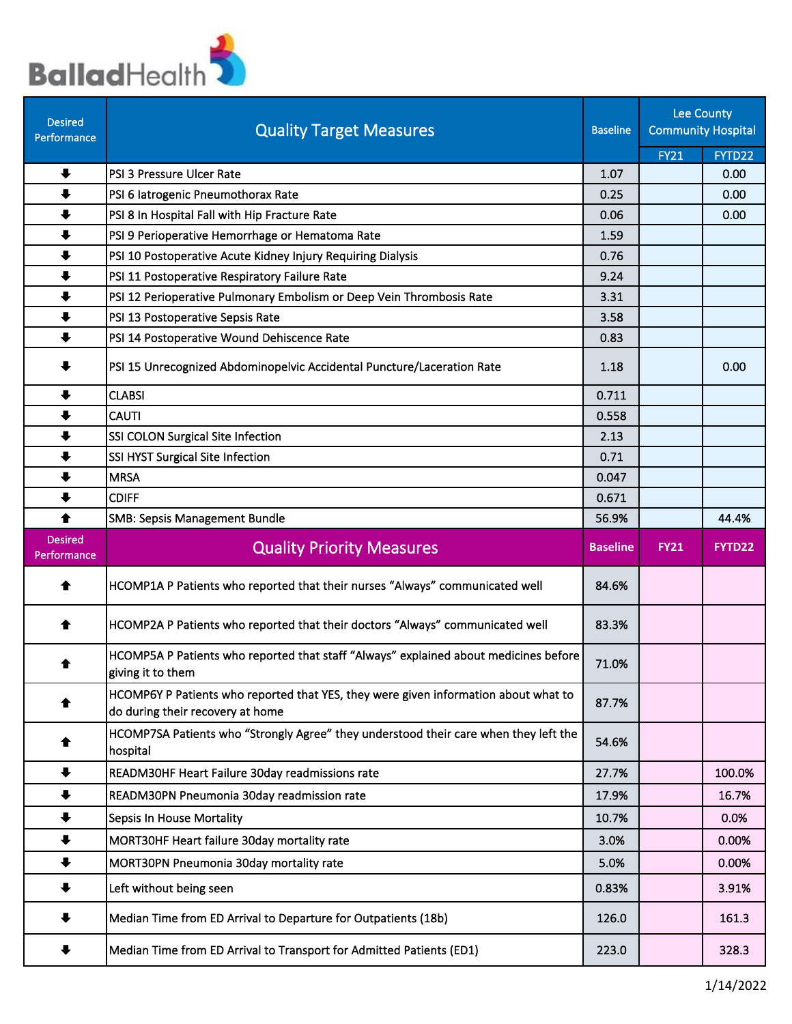

| <b>Desired</b><br>Performance | <b>Quality Target Measures</b>                                                                                          | <b>Baseline</b> |             | Lee County<br><b>Community Hospital</b><br><b>FY21</b><br>FYTD22 |  |
|-------------------------------|-------------------------------------------------------------------------------------------------------------------------|-----------------|-------------|------------------------------------------------------------------|--|
|                               |                                                                                                                         |                 |             |                                                                  |  |
| $\ddot{\phantom{1}}$          | PSI 3 Pressure Ulcer Rate                                                                                               | 1.07            |             | 0.00                                                             |  |
| $\ddot{\phantom{a}}$          | PSI 6 latrogenic Pneumothorax Rate                                                                                      | 0.25            |             | 0.00                                                             |  |
| $\ddot{\phantom{1}}$          | PSI 8 In Hospital Fall with Hip Fracture Rate                                                                           | 0.06            |             | 0.00                                                             |  |
| $\ddot{\phantom{1}}$          | PSI 9 Perioperative Hemorrhage or Hematoma Rate                                                                         | 1.59            |             |                                                                  |  |
| $\ddot{\phantom{1}}$          | PSI 10 Postoperative Acute Kidney Injury Requiring Dialysis                                                             | 0.76            |             |                                                                  |  |
| $\ddot{\phantom{1}}$          | PSI 11 Postoperative Respiratory Failure Rate                                                                           | 9.24            |             |                                                                  |  |
| $\ddot{\phantom{1}}$          | PSI 12 Perioperative Pulmonary Embolism or Deep Vein Thrombosis Rate                                                    | 3.31            |             |                                                                  |  |
| $\ddot{\phantom{1}}$          | PSI 13 Postoperative Sepsis Rate                                                                                        | 3.58            |             |                                                                  |  |
| $\ddot{\phantom{1}}$          | PSI 14 Postoperative Wound Dehiscence Rate                                                                              | 0.83            |             |                                                                  |  |
| $\ddagger$                    | PSI 15 Unrecognized Abdominopelvic Accidental Puncture/Laceration Rate                                                  | 1.18            |             | 0.00                                                             |  |
| $\ddot{\phantom{0}}$          | <b>CLABSI</b>                                                                                                           | 0.711           |             |                                                                  |  |
| ₩                             | <b>CAUTI</b>                                                                                                            | 0.558           |             |                                                                  |  |
| $\ddot{\phantom{1}}$          | SSI COLON Surgical Site Infection                                                                                       | 2.13            |             |                                                                  |  |
| $\ddot{\phantom{1}}$          | SSI HYST Surgical Site Infection                                                                                        | 0.71            |             |                                                                  |  |
| $\ddot{\phantom{1}}$          | <b>MRSA</b>                                                                                                             | 0.047           |             |                                                                  |  |
| $\ddot{\phantom{1}}$          | <b>CDIFF</b>                                                                                                            | 0.671           |             |                                                                  |  |
| ♠                             | <b>SMB: Sepsis Management Bundle</b>                                                                                    | 56.9%           |             | 44.4%                                                            |  |
| <b>Desired</b><br>Performance | <b>Quality Priority Measures</b>                                                                                        | <b>Baseline</b> | <b>FY21</b> | <b>FYTD22</b>                                                    |  |
| ♠                             | HCOMP1A P Patients who reported that their nurses "Always" communicated well                                            | 84.6%           |             |                                                                  |  |
| ♠                             | HCOMP2A P Patients who reported that their doctors "Always" communicated well                                           | 83.3%           |             |                                                                  |  |
|                               | HCOMP5A P Patients who reported that staff "Always" explained about medicines before<br>giving it to them               | 71.0%           |             |                                                                  |  |
| ☎                             | HCOMP6Y P Patients who reported that YES, they were given information about what to<br>do during their recovery at home | 87.7%           |             |                                                                  |  |
|                               | HCOMP7SA Patients who "Strongly Agree" they understood their care when they left the<br>hospital                        | 54.6%           |             |                                                                  |  |
| $\ddot{\phantom{1}}$          | READM30HF Heart Failure 30day readmissions rate                                                                         | 27.7%           |             | 100.0%                                                           |  |
| $\ddot{\phantom{1}}$          | READM30PN Pneumonia 30day readmission rate                                                                              | 17.9%           |             | 16.7%                                                            |  |
| $\ddot{\phantom{1}}$          | <b>Sepsis In House Mortality</b>                                                                                        | 10.7%           |             | 0.0%                                                             |  |
| $\ddot{\phantom{1}}$          | MORT30HF Heart failure 30day mortality rate                                                                             | 3.0%            |             | 0.00%                                                            |  |
| $\ddot{\phantom{1}}$          | MORT30PN Pneumonia 30day mortality rate                                                                                 | 5.0%            |             | 0.00%                                                            |  |
| ₩                             | Left without being seen                                                                                                 | 0.83%           |             | 3.91%                                                            |  |
| ₩                             | Median Time from ED Arrival to Departure for Outpatients (18b)                                                          | 126.0           |             | 161.3                                                            |  |
| ╄                             | Median Time from ED Arrival to Transport for Admitted Patients (ED1)                                                    | 223.0           |             | 328.3                                                            |  |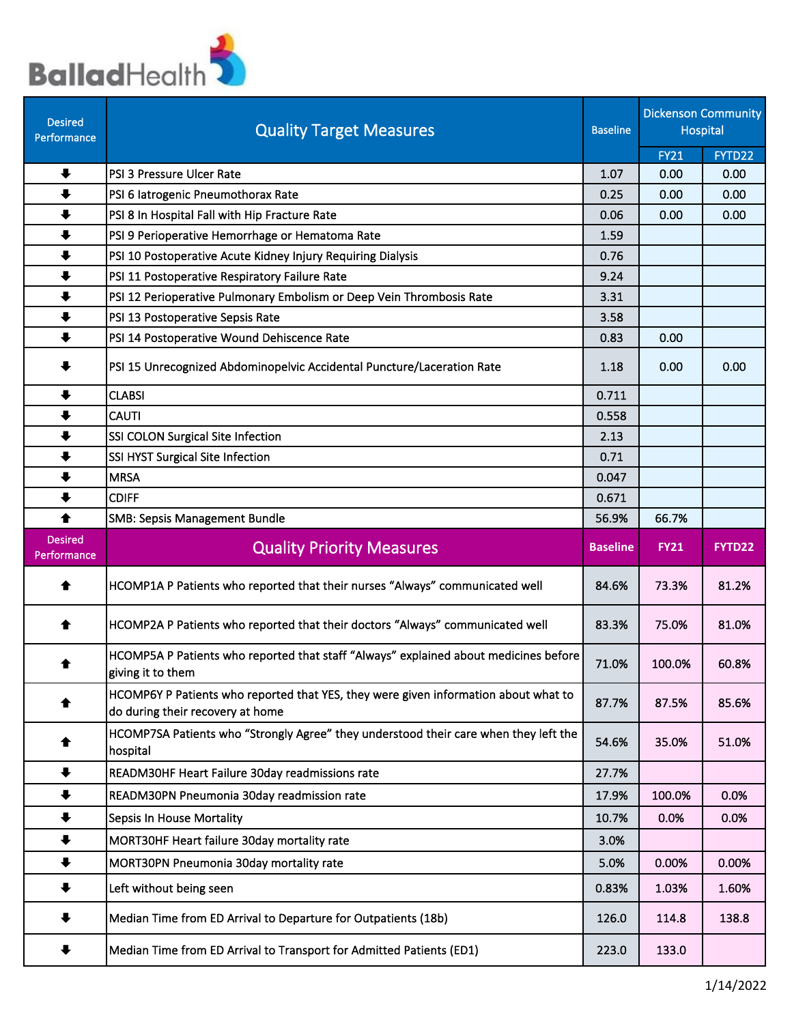

| <b>Desired</b><br>Performance                | <b>Quality Target Measures</b>                                                                                          | <b>Baseline</b> |                | <b>Dickenson Community</b><br><b>Hospital</b> |
|----------------------------------------------|-------------------------------------------------------------------------------------------------------------------------|-----------------|----------------|-----------------------------------------------|
|                                              |                                                                                                                         |                 | <b>FY21</b>    | FYTD22                                        |
| $\ddot{\phantom{1}}$                         | PSI 3 Pressure Ulcer Rate                                                                                               | 1.07            | 0.00           | 0.00                                          |
| $\ddot{\phantom{1}}$                         | PSI 6 latrogenic Pneumothorax Rate                                                                                      | 0.25            | 0.00           | 0.00                                          |
| $\ddot{\phantom{1}}$                         | PSI 8 In Hospital Fall with Hip Fracture Rate                                                                           | 0.06            | 0.00           | 0.00                                          |
| $\ddot{\phantom{1}}$                         | PSI 9 Perioperative Hemorrhage or Hematoma Rate                                                                         | 1.59            |                |                                               |
| $\ddot{\phantom{1}}$                         | PSI 10 Postoperative Acute Kidney Injury Requiring Dialysis                                                             | 0.76            |                |                                               |
| $\ddot{\phantom{1}}$                         | PSI 11 Postoperative Respiratory Failure Rate                                                                           | 9.24            |                |                                               |
| $\ddot{\phantom{1}}$                         | PSI 12 Perioperative Pulmonary Embolism or Deep Vein Thrombosis Rate                                                    | 3.31            |                |                                               |
| $\ddot{\phantom{1}}$                         | PSI 13 Postoperative Sepsis Rate                                                                                        | 3.58            |                |                                               |
| $\ddot{\phantom{1}}$                         | PSI 14 Postoperative Wound Dehiscence Rate                                                                              | 0.83            | 0.00           |                                               |
| ⋅                                            | PSI 15 Unrecognized Abdominopelvic Accidental Puncture/Laceration Rate                                                  | 1.18            | 0.00           | 0.00                                          |
| ┺                                            | <b>CLABSI</b>                                                                                                           | 0.711           |                |                                               |
| $\ddot{\phantom{1}}$                         | <b>CAUTI</b>                                                                                                            | 0.558           |                |                                               |
| $\ddot{\phantom{1}}$                         | SSI COLON Surgical Site Infection                                                                                       | 2.13            |                |                                               |
| $\ddot{\phantom{1}}$                         | SSI HYST Surgical Site Infection                                                                                        | 0.71            |                |                                               |
| $\ddot{\phantom{1}}$                         | <b>MRSA</b>                                                                                                             | 0.047           |                |                                               |
| $\ddot{\phantom{1}}$                         | <b>CDIFF</b>                                                                                                            | 0.671           |                |                                               |
| 合                                            | <b>SMB: Sepsis Management Bundle</b>                                                                                    | 56.9%           | 66.7%          |                                               |
|                                              |                                                                                                                         |                 |                |                                               |
| <b>Desired</b><br>Performance                | <b>Quality Priority Measures</b>                                                                                        | <b>Baseline</b> | <b>FY21</b>    | FYTD22                                        |
| €                                            | HCOMP1A P Patients who reported that their nurses "Always" communicated well                                            | 84.6%           | 73.3%          | 81.2%                                         |
| ♠                                            | HCOMP2A P Patients who reported that their doctors "Always" communicated well                                           | 83.3%           | 75.0%          | 81.0%                                         |
| ♠                                            | HCOMP5A P Patients who reported that staff "Always" explained about medicines before<br>giving it to them               | 71.0%           | 100.0%         | 60.8%                                         |
| ♠                                            | HCOMP6Y P Patients who reported that YES, they were given information about what to<br>do during their recovery at home | 87.7%           | 87.5%          | 85.6%                                         |
|                                              | HCOMP7SA Patients who "Strongly Agree" they understood their care when they left the<br>hospital                        | 54.6%           | 35.0%          | 51.0%                                         |
| $\ddot{\phantom{1}}$                         | READM30HF Heart Failure 30day readmissions rate                                                                         | 27.7%           |                |                                               |
| $\ddot{\phantom{1}}$                         | READM30PN Pneumonia 30day readmission rate                                                                              | 17.9%           | 100.0%         | 0.0%                                          |
| $\ddot{\phantom{1}}$                         | <b>Sepsis In House Mortality</b>                                                                                        | 10.7%           | 0.0%           | 0.0%                                          |
| $\ddot{\phantom{1}}$                         | MORT30HF Heart failure 30day mortality rate                                                                             | 3.0%            |                |                                               |
|                                              |                                                                                                                         |                 |                |                                               |
| $\ddot{\phantom{1}}$<br>$\ddot{\phantom{0}}$ | MORT30PN Pneumonia 30day mortality rate<br>Left without being seen                                                      | 5.0%<br>0.83%   | 0.00%<br>1.03% | 0.00%<br>1.60%                                |
| ♣                                            | Median Time from ED Arrival to Departure for Outpatients (18b)                                                          | 126.0           | 114.8          | 138.8                                         |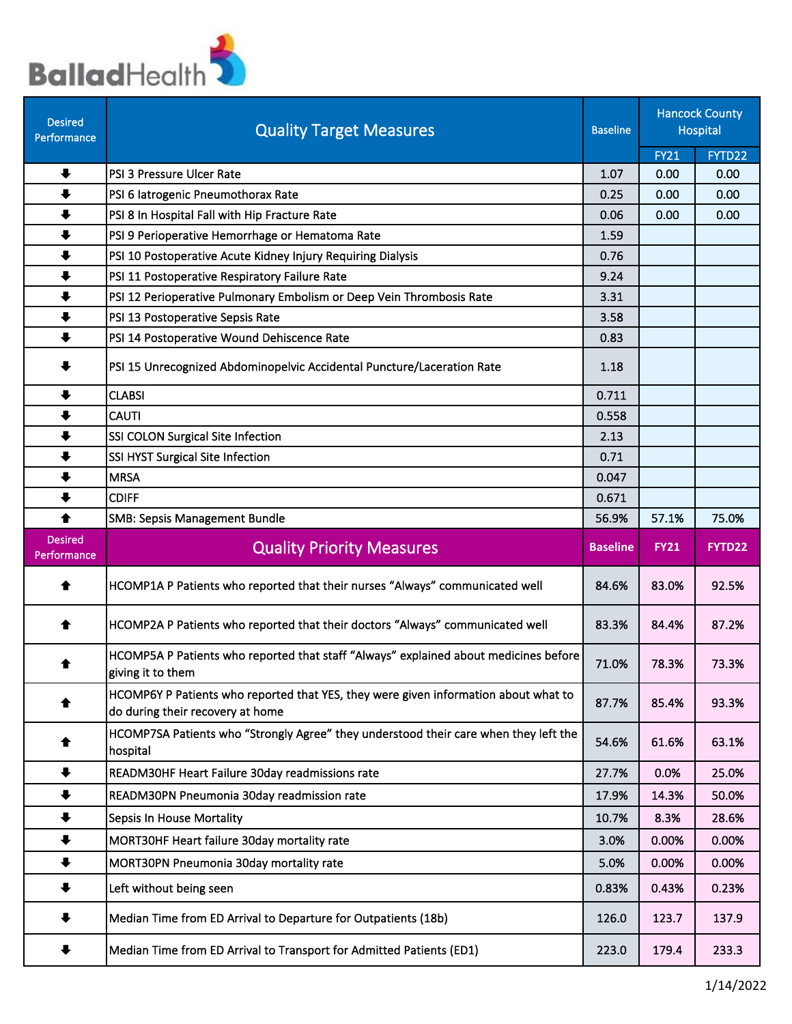

| <b>Desired</b><br>Performance | <b>Quality Target Measures</b>                                                                                          | <b>Baseline</b> |                | <b>Hancock County</b><br>Hospital |
|-------------------------------|-------------------------------------------------------------------------------------------------------------------------|-----------------|----------------|-----------------------------------|
|                               |                                                                                                                         |                 | <b>FY21</b>    | FYTD22                            |
| $\ddot{\phantom{1}}$          | PSI 3 Pressure Ulcer Rate                                                                                               | 1.07            | 0.00           | 0.00                              |
| $\ddot{\phantom{1}}$          | PSI 6 latrogenic Pneumothorax Rate                                                                                      | 0.25            | 0.00           | 0.00                              |
| $\ddot{\phantom{1}}$          | PSI 8 In Hospital Fall with Hip Fracture Rate                                                                           | 0.06            | 0.00           | 0.00                              |
| $\ddot{\phantom{1}}$          | PSI 9 Perioperative Hemorrhage or Hematoma Rate                                                                         | 1.59            |                |                                   |
| $\ddot{\phantom{1}}$          | PSI 10 Postoperative Acute Kidney Injury Requiring Dialysis                                                             | 0.76            |                |                                   |
| $\ddot{\phantom{1}}$          | PSI 11 Postoperative Respiratory Failure Rate                                                                           | 9.24            |                |                                   |
| $\ddot{\phantom{1}}$          | PSI 12 Perioperative Pulmonary Embolism or Deep Vein Thrombosis Rate                                                    | 3.31            |                |                                   |
| $\ddot{\phantom{1}}$          | PSI 13 Postoperative Sepsis Rate                                                                                        | 3.58            |                |                                   |
| $\ddot{\phantom{1}}$          | PSI 14 Postoperative Wound Dehiscence Rate                                                                              | 0.83            |                |                                   |
| ₩                             | PSI 15 Unrecognized Abdominopelvic Accidental Puncture/Laceration Rate                                                  | 1.18            |                |                                   |
| $\ddot{\phantom{1}}$          | <b>CLABSI</b>                                                                                                           | 0.711           |                |                                   |
| $\ddot{\phantom{1}}$          | <b>CAUTI</b>                                                                                                            | 0.558           |                |                                   |
| $\ddot{\phantom{1}}$          | SSI COLON Surgical Site Infection                                                                                       | 2.13            |                |                                   |
| $\ddot{\phantom{1}}$          | SSI HYST Surgical Site Infection                                                                                        | 0.71            |                |                                   |
| $\ddot{\phantom{1}}$          | <b>MRSA</b>                                                                                                             | 0.047           |                |                                   |
| $\ddot{\phantom{1}}$          | <b>CDIFF</b>                                                                                                            | 0.671           |                |                                   |
| $\blacklozenge$               | <b>SMB: Sepsis Management Bundle</b>                                                                                    | 56.9%           | 57.1%          | 75.0%                             |
|                               |                                                                                                                         |                 |                |                                   |
| <b>Desired</b><br>Performance | <b>Quality Priority Measures</b>                                                                                        | <b>Baseline</b> | <b>FY21</b>    | FYTD22                            |
| ♠                             | HCOMP1A P Patients who reported that their nurses "Always" communicated well                                            | 84.6%           | 83.0%          | 92.5%                             |
| ♠                             | HCOMP2A P Patients who reported that their doctors "Always" communicated well                                           | 83.3%           | 84.4%          | 87.2%                             |
| ♠                             | HCOMP5A P Patients who reported that staff "Always" explained about medicines before<br>giving it to them               | 71.0%           | 78.3%          | 73.3%                             |
|                               | HCOMP6Y P Patients who reported that YES, they were given information about what to<br>do during their recovery at home | 87.7%           | 85.4%          | 93.3%                             |
| ♠                             | HCOMP7SA Patients who "Strongly Agree" they understood their care when they left the<br>hospital                        | 54.6%           | 61.6%          | 63.1%                             |
| $\ddot{\phantom{1}}$          | READM30HF Heart Failure 30day readmissions rate                                                                         | 27.7%           | 0.0%           | 25.0%                             |
| $\ddot{\phantom{1}}$          | READM30PN Pneumonia 30day readmission rate                                                                              | 17.9%           | 14.3%          | 50.0%                             |
| $\ddot{\phantom{1}}$          | Sepsis In House Mortality                                                                                               | 10.7%           | 8.3%           | 28.6%                             |
| $\ddot{\phantom{1}}$          | MORT30HF Heart failure 30day mortality rate                                                                             | 3.0%            | 0.00%          | 0.00%                             |
| $\ddot{\phantom{1}}$          |                                                                                                                         |                 |                |                                   |
| ╇                             | MORT30PN Pneumonia 30day mortality rate<br>Left without being seen                                                      | 5.0%<br>0.83%   | 0.00%<br>0.43% | 0.00%<br>0.23%                    |
|                               | Median Time from ED Arrival to Departure for Outpatients (18b)                                                          | 126.0           | 123.7          | 137.9                             |